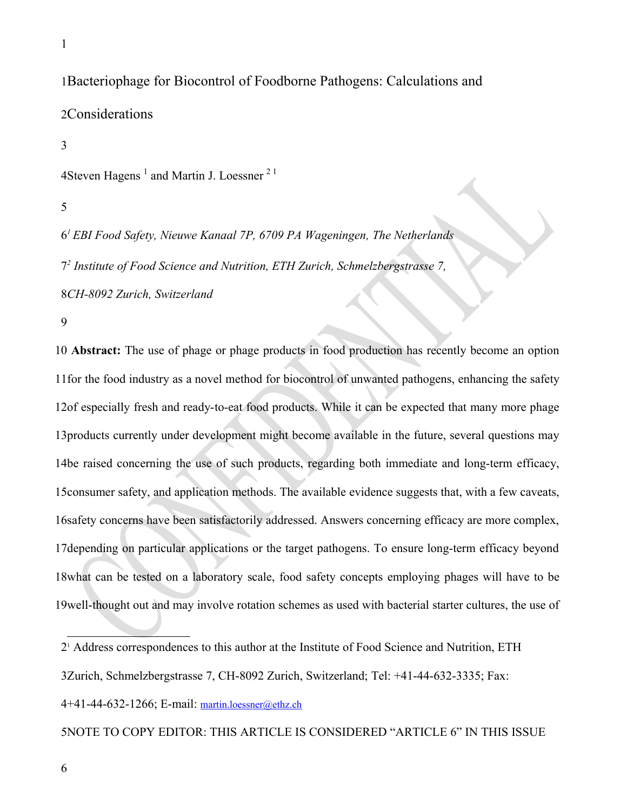Bacteriophage for Biocontrol of Foodborne Pathogens: Calculations and 1

# 2Considerations

3

4Steven Hagens<sup>1</sup> and Martin J. Loessner<sup>21</sup>

## 5

*<sup>1</sup> EBI Food Safety, Nieuwe Kanaal 7P, 6709 PA Wageningen, The Netherlands*  6 *2 Institute of Food Science and Nutrition, ETH Zurich, Schmelzbergstrasse 7,* 7 *CH-8092 Zurich, Switzerland* 8

9

10 **Abstract:** The use of phage or phage products in food production has recently become an option 11 for the food industry as a novel method for biocontrol of unwanted pathogens, enhancing the safety 12of especially fresh and ready-to-eat food products. While it can be expected that many more phage 13 products currently under development might become available in the future, several questions may 14be raised concerning the use of such products, regarding both immediate and long-term efficacy, 15 consumer safety, and application methods. The available evidence suggests that, with a few caveats, 16safety concerns have been satisfactorily addressed. Answers concerning efficacy are more complex, 17 depending on particular applications or the target pathogens. To ensure long-term efficacy beyond 18what can be tested on a laboratory scale, food safety concepts employing phages will have to be 19 well-thought out and may involve rotation schemes as used with bacterial starter cultures, the use of

3Zurich, Schmelzbergstrasse 7, CH-8092 Zurich, Switzerland; Tel: +41-44-632-3335; Fax:

4+41-44-632-1266; E-mail: [martin.loessner@ethz.ch](mailto:martin.loessner@ethz.ch)

NOTE TO COPY EDITOR: THIS ARTICLE IS CONSIDERED "ARTICLE 6" IN THIS ISSUE 5

<span id="page-0-0"></span><sup>1</sup> Address correspondences to this author at the Institute of Food Science and Nutrition, ETH 2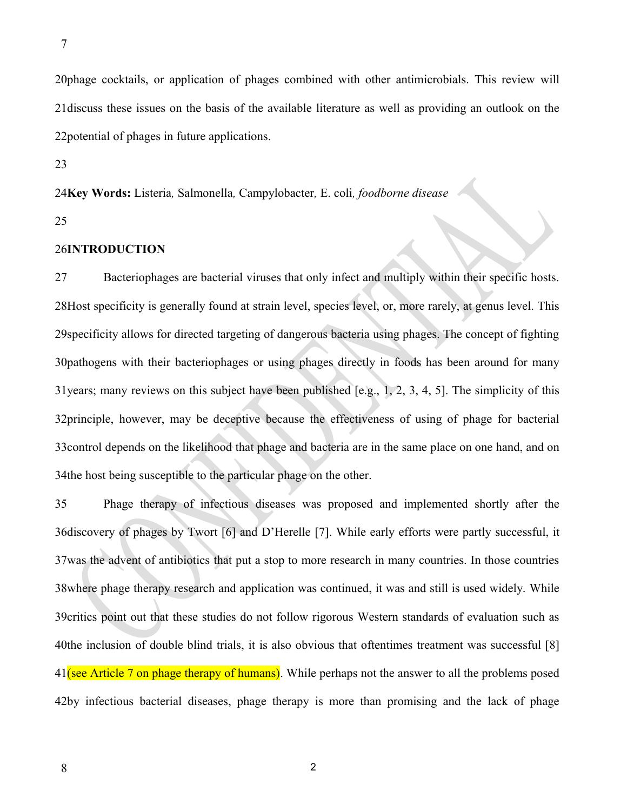20phage cocktails, or application of phages combined with other antimicrobials. This review will 21 discuss these issues on the basis of the available literature as well as providing an outlook on the 22 potential of phages in future applications.

23

**Key Words:** Listeria*,* Salmonella*,* Campylobacter*,* E. coli*, foodborne disease*  24

25

## 26INTRODUCTION

Bacteriophages are bacterial viruses that only infect and multiply within their specific hosts. 28Host specificity is generally found at strain level, species level, or, more rarely, at genus level. This 29 specificity allows for directed targeting of dangerous bacteria using phages. The concept of fighting 30pathogens with their bacteriophages or using phages directly in foods has been around for many 31 years; many reviews on this subject have been published [e.g.,  $1, 2, 3, 4, 5$ ]. The simplicity of this 32 principle, however, may be deceptive because the effectiveness of using of phage for bacterial 33 control depends on the likelihood that phage and bacteria are in the same place on one hand, and on 34the host being susceptible to the particular phage on the other. 27

Phage therapy of infectious diseases was proposed and implemented shortly after the 36 discovery of phages by Twort [6] and D'Herelle [7]. While early efforts were partly successful, it 37was the advent of antibiotics that put a stop to more research in many countries. In those countries 38where phage therapy research and application was continued, it was and still is used widely. While 39 critics point out that these studies do not follow rigorous Western standards of evaluation such as 40the inclusion of double blind trials, it is also obvious that oftentimes treatment was successful [8] 41 (see Article 7 on phage therapy of humans). While perhaps not the answer to all the problems posed 42by infectious bacterial diseases, phage therapy is more than promising and the lack of phage 35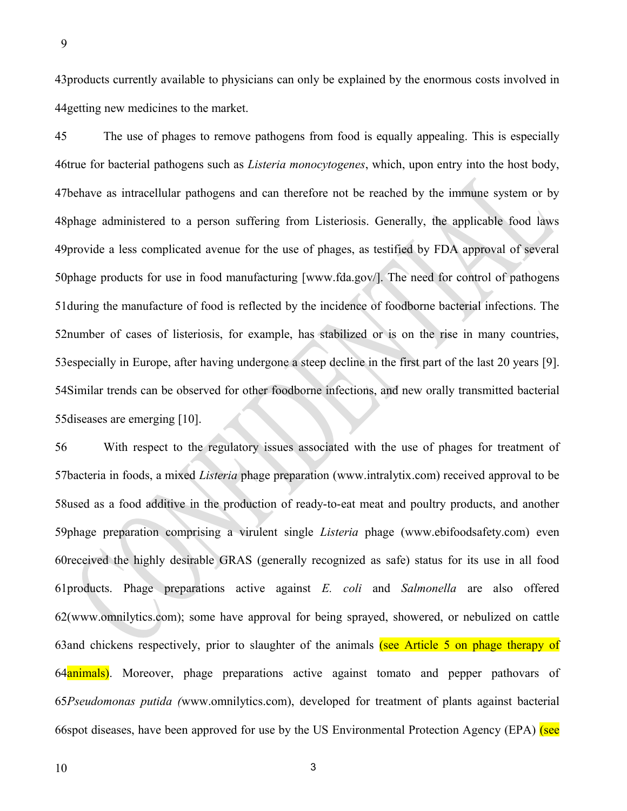43 products currently available to physicians can only be explained by the enormous costs involved in 44 getting new medicines to the market.

The use of phages to remove pathogens from food is equally appealing. This is especially 46true for bacterial pathogens such as *Listeria monocytogenes*, which, upon entry into the host body, 47behave as intracellular pathogens and can therefore not be reached by the immune system or by 48phage administered to a person suffering from Listeriosis. Generally, the applicable food laws 49 provide a less complicated avenue for the use of phages, as testified by FDA approval of several 50phage products for use in food manufacturing [www.fda.gov/]. The need for control of pathogens 51 during the manufacture of food is reflected by the incidence of foodborne bacterial infections. The 52number of cases of listeriosis, for example, has stabilized or is on the rise in many countries, 53 especially in Europe, after having undergone a steep decline in the first part of the last 20 years [9]. 54Similar trends can be observed for other foodborne infections, and new orally transmitted bacterial 55 diseases are emerging [10]. 45

With respect to the regulatory issues associated with the use of phages for treatment of 57bacteria in foods, a mixed *Listeria* phage preparation (www.intralytix.com) received approval to be 58used as a food additive in the production of ready-to-eat meat and poultry products, and another 59phage preparation comprising a virulent single *Listeria* phage (www.ebifoodsafety.com) even 60 received the highly desirable GRAS (generally recognized as safe) status for its use in all food 61products. Phage preparations active against *E. coli* and *Salmonella* are also offered 62(www.omnilytics.com); some have approval for being sprayed, showered, or nebulized on cattle 63 and chickens respectively, prior to slaughter of the animals (see Article 5 on phage therapy of 64 **animals**). Moreover, phage preparations active against tomato and pepper pathovars of *Pseudomonas putida (*www.omnilytics.com), developed for treatment of plants against bacterial 65 66spot diseases, have been approved for use by the US Environmental Protection Agency (EPA) (see 56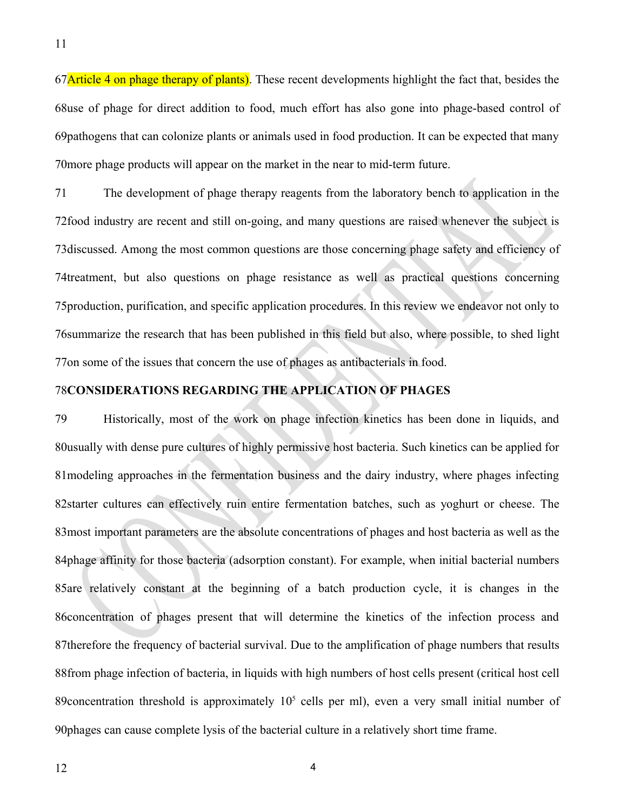67 **Article 4 on phage therapy of plants**). These recent developments highlight the fact that, besides the 68use of phage for direct addition to food, much effort has also gone into phage-based control of 69pathogens that can colonize plants or animals used in food production. It can be expected that many 70 more phage products will appear on the market in the near to mid-term future.

The development of phage therapy reagents from the laboratory bench to application in the 72food industry are recent and still on-going, and many questions are raised whenever the subject is 73 discussed. Among the most common questions are those concerning phage safety and efficiency of 74treatment, but also questions on phage resistance as well as practical questions concerning 75 production, purification, and specific application procedures. In this review we endeavor not only to 76 summarize the research that has been published in this field but also, where possible, to shed light 77 on some of the issues that concern the use of phages as antibacterials in food. 71

## **CONSIDERATIONS REGARDING THE APPLICATION OF PHAGES** 78

Historically, most of the work on phage infection kinetics has been done in liquids, and 80 usually with dense pure cultures of highly permissive host bacteria. Such kinetics can be applied for 81 modeling approaches in the fermentation business and the dairy industry, where phages infecting 82starter cultures can effectively ruin entire fermentation batches, such as yoghurt or cheese. The 83 most important parameters are the absolute concentrations of phages and host bacteria as well as the 84phage affinity for those bacteria (adsorption constant). For example, when initial bacterial numbers 85are relatively constant at the beginning of a batch production cycle, it is changes in the 86 concentration of phages present that will determine the kinetics of the infection process and 87 therefore the frequency of bacterial survival. Due to the amplification of phage numbers that results 88from phage infection of bacteria, in liquids with high numbers of host cells present (critical host cell 89 concentration threshold is approximately  $10<sup>5</sup>$  cells per ml), even a very small initial number of 90phages can cause complete lysis of the bacterial culture in a relatively short time frame. 79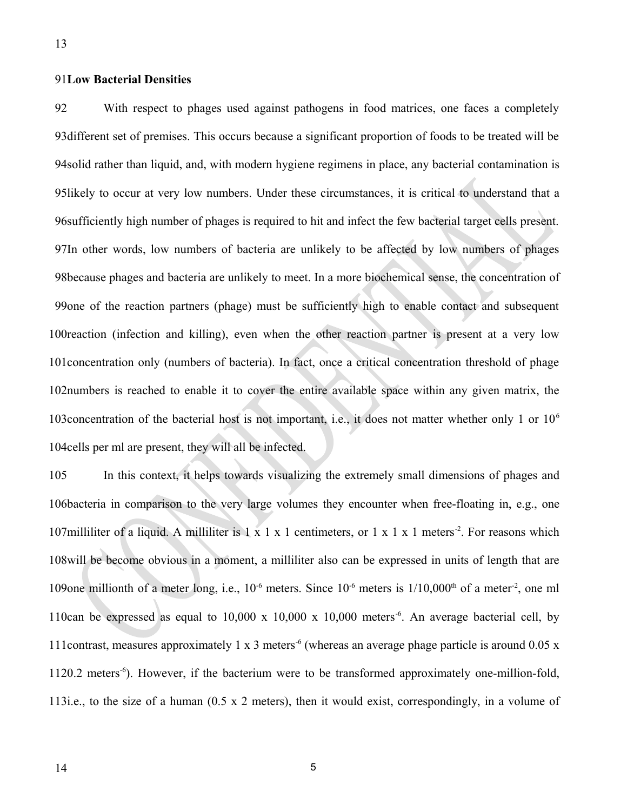## **Low Bacterial Densities** 91

With respect to phages used against pathogens in food matrices, one faces a completely 93 different set of premises. This occurs because a significant proportion of foods to be treated will be 94 solid rather than liquid, and, with modern hygiene regimens in place, any bacterial contamination is 95likely to occur at very low numbers. Under these circumstances, it is critical to understand that a 96 sufficiently high number of phages is required to hit and infect the few bacterial target cells present. 97In other words, low numbers of bacteria are unlikely to be affected by low numbers of phages 98because phages and bacteria are unlikely to meet. In a more biochemical sense, the concentration of 99one of the reaction partners (phage) must be sufficiently high to enable contact and subsequent 100 reaction (infection and killing), even when the other reaction partner is present at a very low 101 concentration only (numbers of bacteria). In fact, once a critical concentration threshold of phage 102numbers is reached to enable it to cover the entire available space within any given matrix, the 103 concentration of the bacterial host is not important, i.e., it does not matter whether only 1 or  $10<sup>6</sup>$ 104 cells per ml are present, they will all be infected. 92

In this context, it helps towards visualizing the extremely small dimensions of phages and 106bacteria in comparison to the very large volumes they encounter when free-floating in, e.g., one 107 milliliter of a liquid. A milliliter is  $1 \times 1 \times 1$  centimeters, or  $1 \times 1 \times 1$  meters<sup>-2</sup>. For reasons which 108 will be become obvious in a moment, a milliliter also can be expressed in units of length that are 109 one millionth of a meter long, i.e.,  $10^{-6}$  meters. Since  $10^{-6}$  meters is  $1/10,000$ <sup>th</sup> of a meter<sup>-2</sup>, one ml 110can be expressed as equal to  $10,000 \times 10,000 \times 10,000$  meters<sup>-6</sup>. An average bacterial cell, by 111 contrast, measures approximately 1 x 3 meters<sup>-6</sup> (whereas an average phage particle is around  $0.05$  x 1120.2 meters<sup>-6</sup>). However, if the bacterium were to be transformed approximately one-million-fold, 113i.e., to the size of a human  $(0.5 \times 2$  meters), then it would exist, correspondingly, in a volume of 105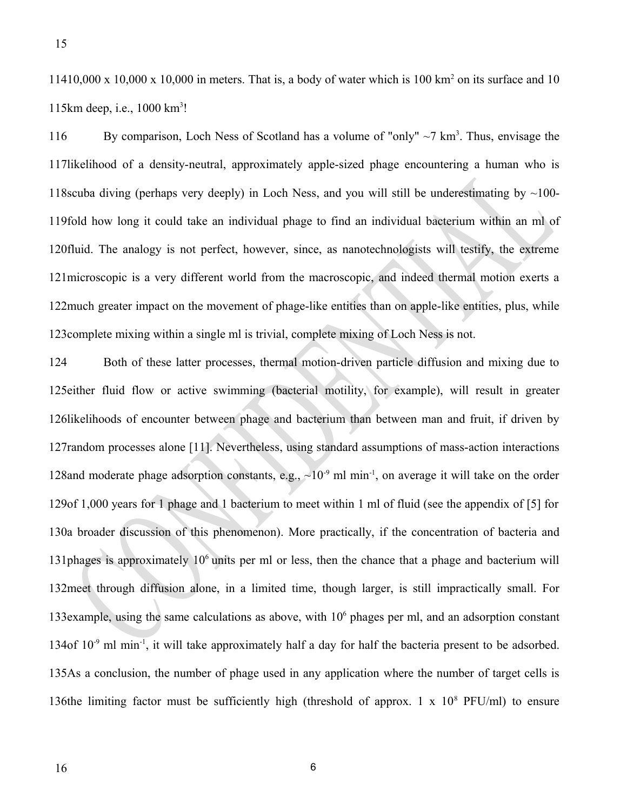$11410,000 \times 10,000 \times 10,000$  in meters. That is, a body of water which is 100 km<sup>2</sup> on its surface and 10 115km deep, i.e., 1000 km<sup>3</sup>!

By comparison, Loch Ness of Scotland has a volume of "only"  $\sim$ 7 km<sup>3</sup>. Thus, envisage the 117likelihood of a density-neutral, approximately apple-sized phage encountering a human who is 118 scuba diving (perhaps very deeply) in Loch Ness, and you will still be underestimating by  $\sim$ 100-119fold how long it could take an individual phage to find an individual bacterium within an ml of 120fluid. The analogy is not perfect, however, since, as nanotechnologists will testify, the extreme 121 microscopic is a very different world from the macroscopic, and indeed thermal motion exerts a 122 much greater impact on the movement of phage-like entities than on apple-like entities, plus, while 123 complete mixing within a single ml is trivial, complete mixing of Loch Ness is not. 116

Both of these latter processes, thermal motion-driven particle diffusion and mixing due to 125 either fluid flow or active swimming (bacterial motility, for example), will result in greater 126likelihoods of encounter between phage and bacterium than between man and fruit, if driven by 127random processes alone [11]. Nevertheless, using standard assumptions of mass-action interactions 128 and moderate phage adsorption constants, e.g.,  $\sim 10^{-9}$  ml min<sup>-1</sup>, on average it will take on the order 129 of 1,000 years for 1 phage and 1 bacterium to meet within 1 ml of fluid (see the appendix of [5] for 130a broader discussion of this phenomenon). More practically, if the concentration of bacteria and 131 phages is approximately  $10<sup>6</sup>$  units per ml or less, then the chance that a phage and bacterium will 132 meet through diffusion alone, in a limited time, though larger, is still impractically small. For 133 example, using the same calculations as above, with  $10<sup>6</sup>$  phages per ml, and an adsorption constant 134 of  $10^{-9}$  ml min<sup>-1</sup>, it will take approximately half a day for half the bacteria present to be adsorbed. 135As a conclusion, the number of phage used in any application where the number of target cells is 136the limiting factor must be sufficiently high (threshold of approx. 1 x  $10^8$  PFU/ml) to ensure 124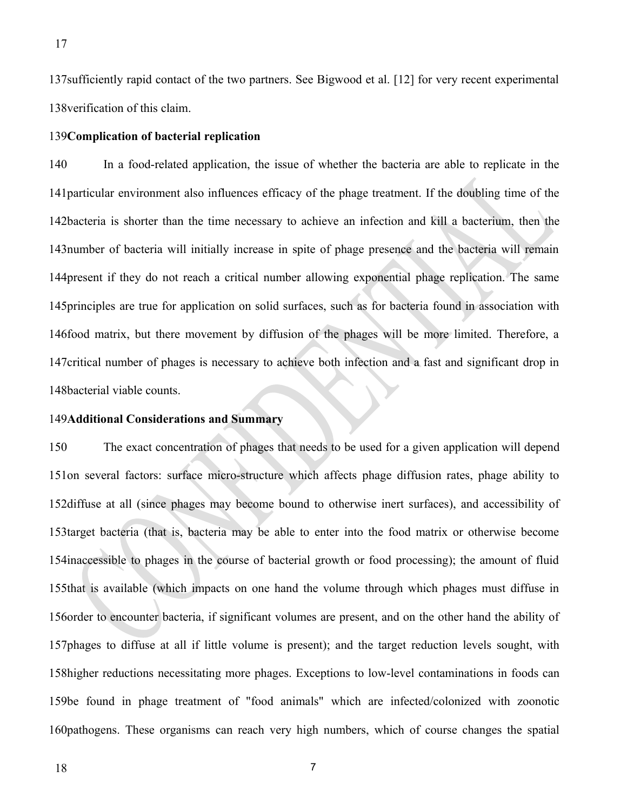137 sufficiently rapid contact of the two partners. See Bigwood et al. [12] for very recent experimental 138 verification of this claim.

#### 139Complication of bacterial replication

In a food-related application, the issue of whether the bacteria are able to replicate in the 141 particular environment also influences efficacy of the phage treatment. If the doubling time of the 142bacteria is shorter than the time necessary to achieve an infection and kill a bacterium, then the 143 number of bacteria will initially increase in spite of phage presence and the bacteria will remain 144 present if they do not reach a critical number allowing exponential phage replication. The same 145 principles are true for application on solid surfaces, such as for bacteria found in association with 146food matrix, but there movement by diffusion of the phages will be more limited. Therefore, a 147 critical number of phages is necessary to achieve both infection and a fast and significant drop in 148bacterial viable counts. 140

## 149Additional Considerations and Summary

The exact concentration of phages that needs to be used for a given application will depend 151on several factors: surface micro-structure which affects phage diffusion rates, phage ability to 152 diffuse at all (since phages may become bound to otherwise inert surfaces), and accessibility of 153target bacteria (that is, bacteria may be able to enter into the food matrix or otherwise become 154 inaccessible to phages in the course of bacterial growth or food processing); the amount of fluid 155that is available (which impacts on one hand the volume through which phages must diffuse in 156 order to encounter bacteria, if significant volumes are present, and on the other hand the ability of 157 phages to diffuse at all if little volume is present); and the target reduction levels sought, with 158 higher reductions necessitating more phages. Exceptions to low-level contaminations in foods can 159be found in phage treatment of "food animals" which are infected/colonized with zoonotic 160pathogens. These organisms can reach very high numbers, which of course changes the spatial 150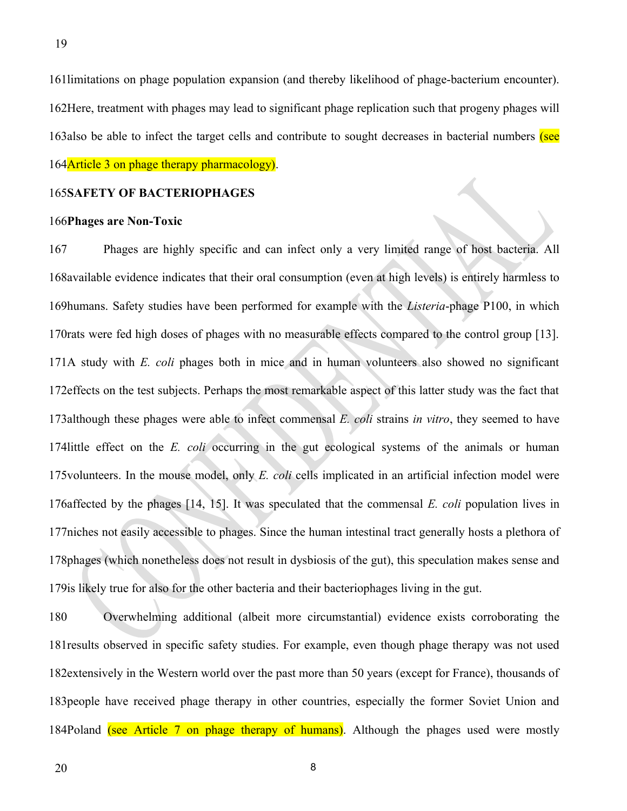161 limitations on phage population expansion (and thereby likelihood of phage-bacterium encounter). 162Here, treatment with phages may lead to significant phage replication such that progeny phages will 163also be able to infect the target cells and contribute to sought decreases in bacterial numbers (see 164 Article 3 on phage therapy pharmacology).

#### 165SAFETY OF BACTERIOPHAGES

#### 166Phages are Non-Toxic

Phages are highly specific and can infect only a very limited range of host bacteria. All 168 available evidence indicates that their oral consumption (even at high levels) is entirely harmless to 169humans. Safety studies have been performed for example with the *Listeria*-phage P100, in which 170 trats were fed high doses of phages with no measurable effects compared to the control group [13]. 171A study with *E. coli* phages both in mice and in human volunteers also showed no significant 172 effects on the test subjects. Perhaps the most remarkable aspect of this latter study was the fact that 173 although these phages were able to infect commensal *E. coli* strains *in vitro*, they seemed to have 174 little effect on the *E. coli* occurring in the gut ecological systems of the animals or human 175 volunteers. In the mouse model, only *E. coli* cells implicated in an artificial infection model were 176 affected by the phages  $[14, 15]$ . It was speculated that the commensal *E. coli* population lives in 177 niches not easily accessible to phages. Since the human intestinal tract generally hosts a plethora of 178 phages (which nonetheless does not result in dysbiosis of the gut), this speculation makes sense and 179 is likely true for also for the other bacteria and their bacteriophages living in the gut. 167

Overwhelming additional (albeit more circumstantial) evidence exists corroborating the 181 results observed in specific safety studies. For example, even though phage therapy was not used 182 extensively in the Western world over the past more than 50 years (except for France), thousands of 183 people have received phage therapy in other countries, especially the former Soviet Union and 184Poland (see Article 7 on phage therapy of humans). Although the phages used were mostly 180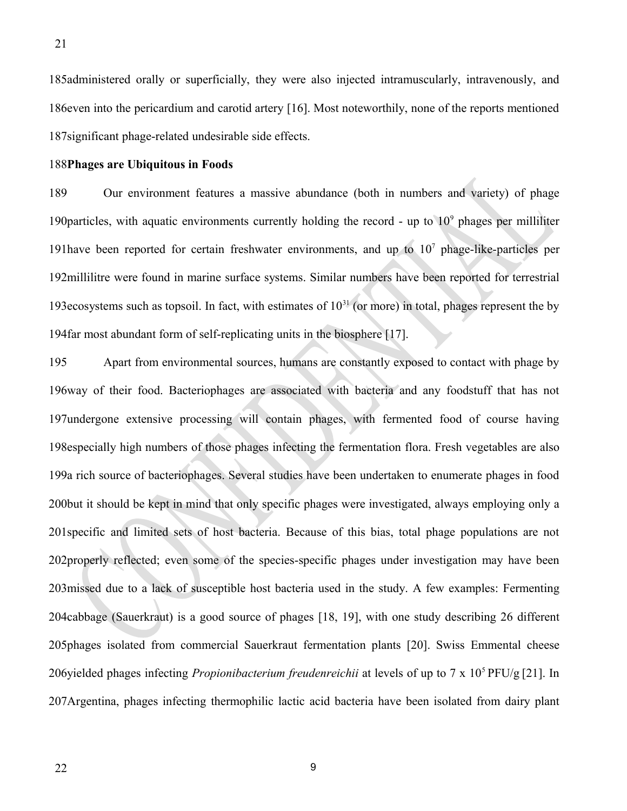185 administered orally or superficially, they were also injected intramuscularly, intravenously, and 186 even into the pericardium and carotid artery [16]. Most noteworthily, none of the reports mentioned 187 significant phage-related undesirable side effects.

#### 188Phages are Ubiquitous in Foods

Our environment features a massive abundance (both in numbers and variety) of phage 190 particles, with aquatic environments currently holding the record - up to  $10<sup>9</sup>$  phages per milliliter 191 have been reported for certain freshwater environments, and up to  $10<sup>7</sup>$  phage-like-particles per 192 millilitre were found in marine surface systems. Similar numbers have been reported for terrestrial 193 ecosystems such as topsoil. In fact, with estimates of  $10^{31}$  (or more) in total, phages represent the by 194 far most abundant form of self-replicating units in the biosphere  $[17]$ . 189

Apart from environmental sources, humans are constantly exposed to contact with phage by 196way of their food. Bacteriophages are associated with bacteria and any foodstuff that has not 197 undergone extensive processing will contain phages, with fermented food of course having 198 especially high numbers of those phages infecting the fermentation flora. Fresh vegetables are also 199a rich source of bacteriophages. Several studies have been undertaken to enumerate phages in food 200but it should be kept in mind that only specific phages were investigated, always employing only a 201 specific and limited sets of host bacteria. Because of this bias, total phage populations are not 202properly reflected; even some of the species-specific phages under investigation may have been 203missed due to a lack of susceptible host bacteria used in the study. A few examples: Fermenting 204cabbage (Sauerkraut) is a good source of phages [18, 19], with one study describing 26 different 205phages isolated from commercial Sauerkraut fermentation plants [20]. Swiss Emmental cheese 206yielded phages infecting *Propionibacterium freudenreichii* at levels of up to 7 x 10<sup>5</sup> PFU/g [21]. In 207Argentina, phages infecting thermophilic lactic acid bacteria have been isolated from dairy plant 195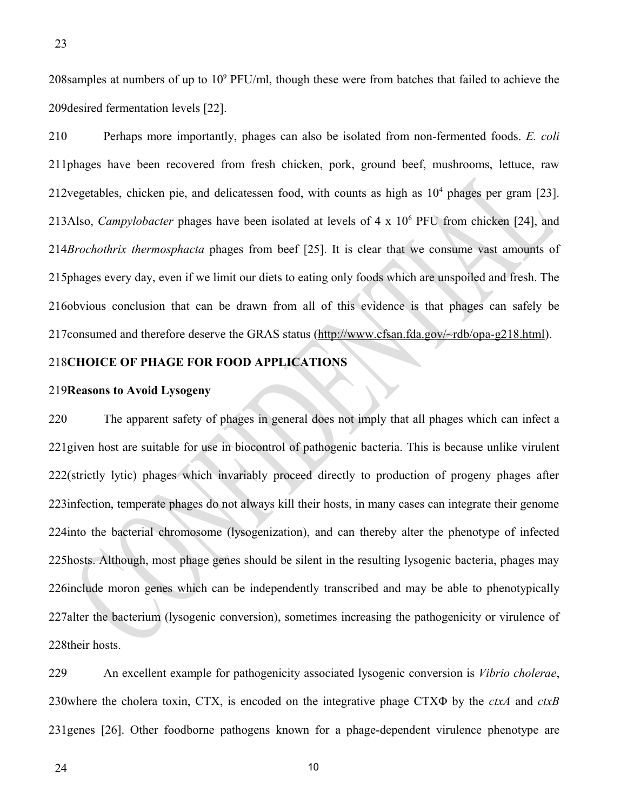208 samples at numbers of up to  $10^9$  PFU/ml, though these were from batches that failed to achieve the 209 desired fermentation levels [22].

Perhaps more importantly, phages can also be isolated from non-fermented foods. *E. coli* 211phages have been recovered from fresh chicken, pork, ground beef, mushrooms, lettuce, raw 212 vegetables, chicken pie, and delicatessen food, with counts as high as  $10<sup>4</sup>$  phages per gram [23]. 213Also, *Campylobacter* phages have been isolated at levels of 4 x 10<sup>6</sup> PFU from chicken [24], and 214*Brochothrix thermosphacta* phages from beef [25]. It is clear that we consume vast amounts of 215 phages every day, even if we limit our diets to eating only foods which are unspoiled and fresh. The 216 obvious conclusion that can be drawn from all of this evidence is that phages can safely be 217 consumed and therefore deserve the GRAS status [\(http://www.cfsan.fda.gov/~rdb/opa-g218.html\)](http://www.cfsan.fda.gov/~rdb/opa-g218.html). 210

## **CHOICE OF PHAGE FOR FOOD APPLICATIONS** 218

## 219Reasons to Avoid Lysogeny

The apparent safety of phages in general does not imply that all phages which can infect a 221 given host are suitable for use in biocontrol of pathogenic bacteria. This is because unlike virulent 222(strictly lytic) phages which invariably proceed directly to production of progeny phages after 223 infection, temperate phages do not always kill their hosts, in many cases can integrate their genome 224 into the bacterial chromosome (lysogenization), and can thereby alter the phenotype of infected 225hosts. Although, most phage genes should be silent in the resulting lysogenic bacteria, phages may 226 include moron genes which can be independently transcribed and may be able to phenotypically 227 alter the bacterium (lysogenic conversion), sometimes increasing the pathogenicity or virulence of 228their hosts. 220

An excellent example for pathogenicity associated lysogenic conversion is *Vibrio cholerae*, 230where the cholera toxin, CTX, is encoded on the integrative phage CTXΦ by the *ctxA* and *ctxB* 231 genes [26]. Other foodborne pathogens known for a phage-dependent virulence phenotype are 229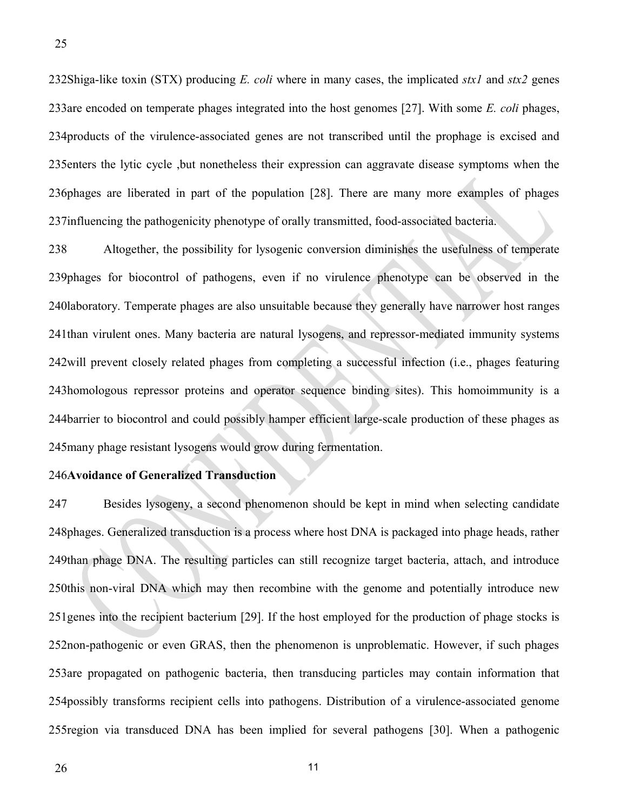232Shiga-like toxin (STX) producing *E. coli* where in many cases, the implicated *stx1* and *stx2* genes 233 are encoded on temperate phages integrated into the host genomes [27]. With some *E. coli* phages, 234 products of the virulence-associated genes are not transcribed until the prophage is excised and 235 enters the lytic cycle, but nonetheless their expression can aggravate disease symptoms when the 236 phages are liberated in part of the population [28]. There are many more examples of phages 237 influencing the pathogenicity phenotype of orally transmitted, food-associated bacteria.

Altogether, the possibility for lysogenic conversion diminishes the usefulness of temperate 239phages for biocontrol of pathogens, even if no virulence phenotype can be observed in the 240laboratory. Temperate phages are also unsuitable because they generally have narrower host ranges 241than virulent ones. Many bacteria are natural lysogens, and repressor-mediated immunity systems 242 will prevent closely related phages from completing a successful infection (i.e., phages featuring 243homologous repressor proteins and operator sequence binding sites). This homoimmunity is a 244barrier to biocontrol and could possibly hamper efficient large-scale production of these phages as 245many phage resistant lysogens would grow during fermentation. 238

#### 246Avoidance of Generalized Transduction

Besides lysogeny, a second phenomenon should be kept in mind when selecting candidate 248phages. Generalized transduction is a process where host DNA is packaged into phage heads, rather 249than phage DNA. The resulting particles can still recognize target bacteria, attach, and introduce 250this non-viral DNA which may then recombine with the genome and potentially introduce new 251 genes into the recipient bacterium [29]. If the host employed for the production of phage stocks is 252non-pathogenic or even GRAS, then the phenomenon is unproblematic. However, if such phages 253 are propagated on pathogenic bacteria, then transducing particles may contain information that 254 possibly transforms recipient cells into pathogens. Distribution of a virulence-associated genome 255 region via transduced DNA has been implied for several pathogens [30]. When a pathogenic 247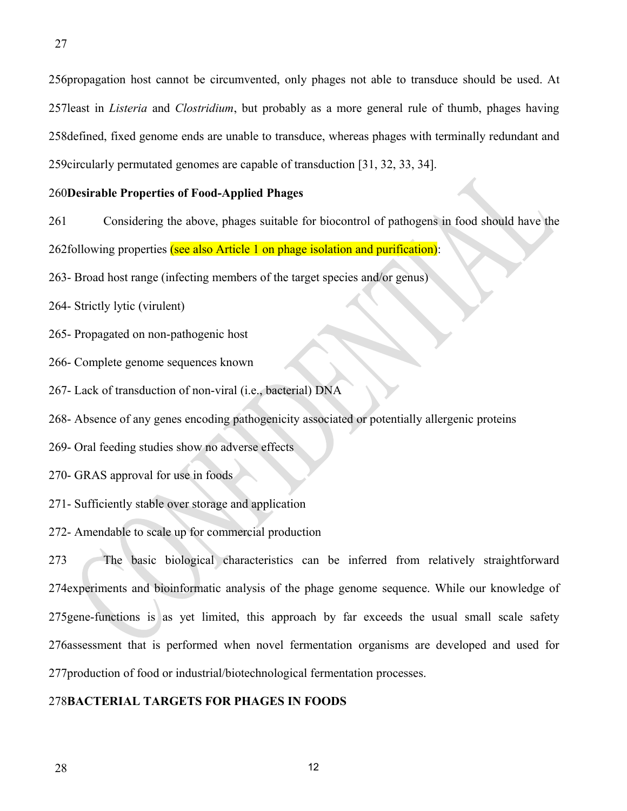256 propagation host cannot be circumvented, only phages not able to transduce should be used. At 257least in *Listeria* and *Clostridium*, but probably as a more general rule of thumb, phages having 258 defined, fixed genome ends are unable to transduce, whereas phages with terminally redundant and 259 circularly permutated genomes are capable of transduction [31, 32, 33, 34].

### **Desirable Properties of Food-Applied Phages** 260

Considering the above, phages suitable for biocontrol of pathogens in food should have the 261

262following properties (see also Article 1 on phage isolation and purification):

263- Broad host range (infecting members of the target species and/or genus)

264- Strictly lytic (virulent)

265- Propagated on non-pathogenic host

266- Complete genome sequences known

267- Lack of transduction of non-viral (i.e., bacterial) DNA

268- Absence of any genes encoding pathogenicity associated or potentially allergenic proteins

269- Oral feeding studies show no adverse effects

270- GRAS approval for use in foods

271- Sufficiently stable over storage and application

272- Amendable to scale up for commercial production

The basic biological characteristics can be inferred from relatively straightforward 274 experiments and bioinformatic analysis of the phage genome sequence. While our knowledge of 275 gene-functions is as yet limited, this approach by far exceeds the usual small scale safety 276 assessment that is performed when novel fermentation organisms are developed and used for 277 production of food or industrial/biotechnological fermentation processes. 273

## **BACTERIAL TARGETS FOR PHAGES IN FOODS** 278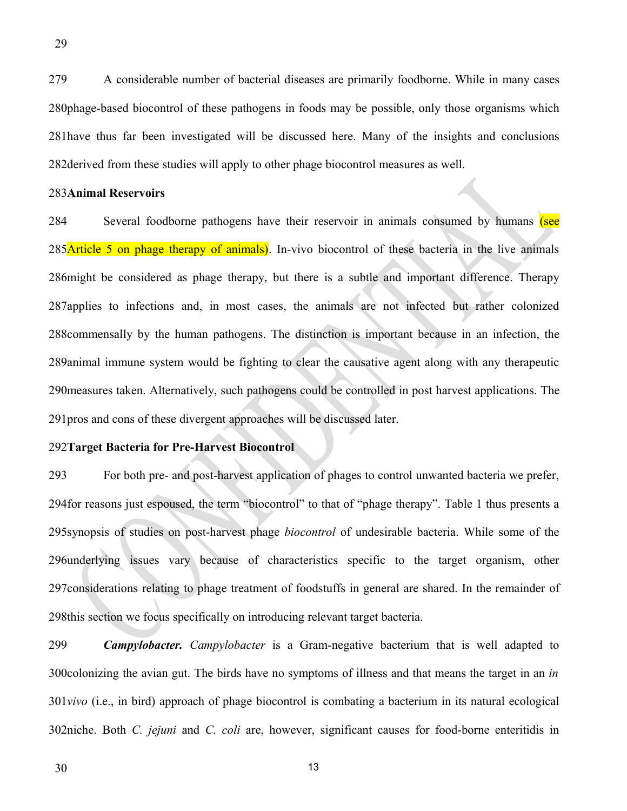A considerable number of bacterial diseases are primarily foodborne. While in many cases 280phage-based biocontrol of these pathogens in foods may be possible, only those organisms which 281 have thus far been investigated will be discussed here. Many of the insights and conclusions 282 derived from these studies will apply to other phage biocontrol measures as well. 279

#### **Animal Reservoirs** 283

Several foodborne pathogens have their reservoir in animals consumed by humans (see 285 **Article 5 on phage therapy of animals**). In-vivo biocontrol of these bacteria in the live animals 286 might be considered as phage therapy, but there is a subtle and important difference. Therapy 287 applies to infections and, in most cases, the animals are not infected but rather colonized 288 commensally by the human pathogens. The distinction is important because in an infection, the 289animal immune system would be fighting to clear the causative agent along with any therapeutic 290 measures taken. Alternatively, such pathogens could be controlled in post harvest applications. The 291 pros and cons of these divergent approaches will be discussed later. 284

#### **Target Bacteria for Pre-Harvest Biocontrol** 292

For both pre- and post-harvest application of phages to control unwanted bacteria we prefer, 294 for reasons just espoused, the term "biocontrol" to that of "phage therapy". Table 1 thus presents a 295 synopsis of studies on post-harvest phage *biocontrol* of undesirable bacteria. While some of the 296 underlying issues vary because of characteristics specific to the target organism, other 297 considerations relating to phage treatment of foodstuffs in general are shared. In the remainder of 298this section we focus specifically on introducing relevant target bacteria. 293

*Campylobacter. Campylobacter* is a Gram-negative bacterium that is well adapted to 300 colonizing the avian gut. The birds have no symptoms of illness and that means the target in an *in* 301*vivo* (i.e., in bird) approach of phage biocontrol is combating a bacterium in its natural ecological 302niche. Both *C. jejuni* and *C. coli* are, however, significant causes for food-borne enteritidis in 299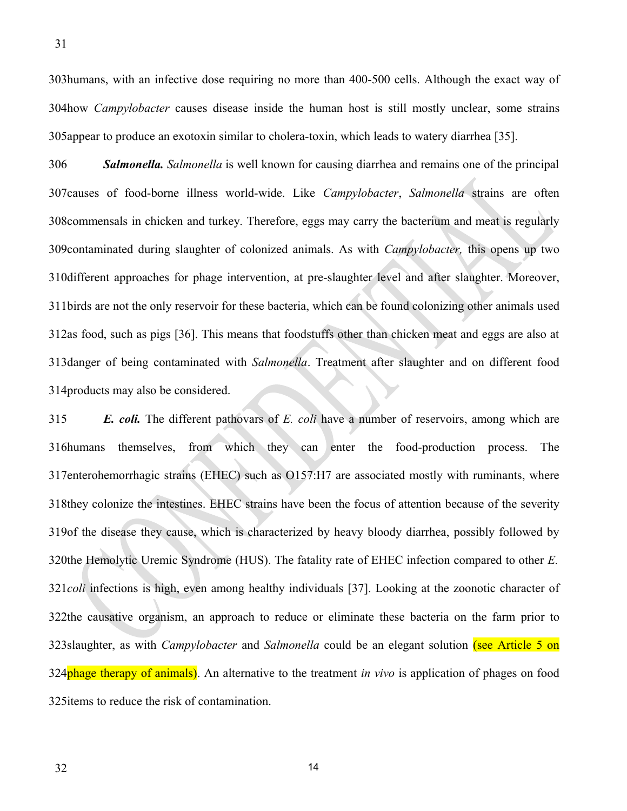303humans, with an infective dose requiring no more than 400-500 cells. Although the exact way of 304how *Campylobacter* causes disease inside the human host is still mostly unclear, some strains 305 appear to produce an exotoxin similar to cholera-toxin, which leads to watery diarrhea [35].

*Salmonella. Salmonella* is well known for causing diarrhea and remains one of the principal 307 causes of food-borne illness world-wide. Like *Campylobacter*, *Salmonella* strains are often 308 commensals in chicken and turkey. Therefore, eggs may carry the bacterium and meat is regularly 309 contaminated during slaughter of colonized animals. As with *Campylobacter*, this opens up two 310 different approaches for phage intervention, at pre-slaughter level and after slaughter. Moreover, 311 birds are not the only reservoir for these bacteria, which can be found colonizing other animals used 312as food, such as pigs [36]. This means that foodstuffs other than chicken meat and eggs are also at 313 danger of being contaminated with Salmonella. Treatment after slaughter and on different food 314 products may also be considered. 306

*E. coli.* The different pathovars of *E. coli* have a number of reservoirs, among which are 316humans themselves, from which they can enter the food-production process. The 317enterohemorrhagic strains (EHEC) such as O157:H7 are associated mostly with ruminants, where 318 they colonize the intestines. EHEC strains have been the focus of attention because of the severity 319 of the disease they cause, which is characterized by heavy bloody diarrhea, possibly followed by 320the Hemolytic Uremic Syndrome (HUS). The fatality rate of EHEC infection compared to other *E*. 321coli infections is high, even among healthy individuals [37]. Looking at the zoonotic character of 322the causative organism, an approach to reduce or eliminate these bacteria on the farm prior to 323slaughter, as with *Campylobacter* and *Salmonella* could be an elegant solution (see Article 5 on 324 phage therapy of animals). An alternative to the treatment *in vivo* is application of phages on food 325 items to reduce the risk of contamination. 315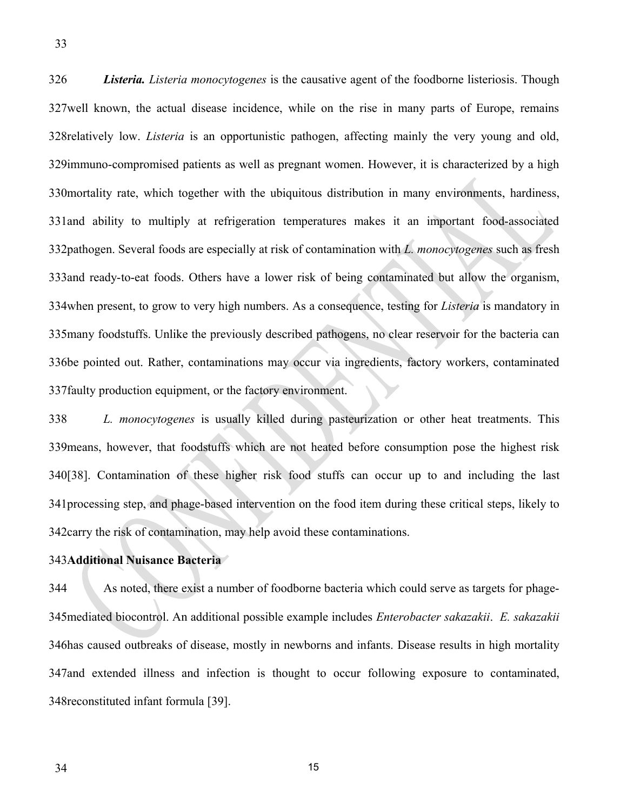*Listeria. Listeria monocytogenes* is the causative agent of the foodborne listeriosis. Though 327 well known, the actual disease incidence, while on the rise in many parts of Europe, remains 328relatively low. *Listeria* is an opportunistic pathogen, affecting mainly the very young and old, 329immuno-compromised patients as well as pregnant women. However, it is characterized by a high 330 mortality rate, which together with the ubiquitous distribution in many environments, hardiness, 331 and ability to multiply at refrigeration temperatures makes it an important food-associated 332pathogen. Several foods are especially at risk of contamination with *L. monocytogenes* such as fresh 333 and ready-to-eat foods. Others have a lower risk of being contaminated but allow the organism, 334when present, to grow to very high numbers. As a consequence, testing for *Listeria* is mandatory in 335many foodstuffs. Unlike the previously described pathogens, no clear reservoir for the bacteria can 336be pointed out. Rather, contaminations may occur via ingredients, factory workers, contaminated 337 faulty production equipment, or the factory environment. 326

*L. monocytogenes* is usually killed during pasteurization or other heat treatments. This 339 means, however, that foodstuffs which are not heated before consumption pose the highest risk 340[38]. Contamination of these higher risk food stuffs can occur up to and including the last 341 processing step, and phage-based intervention on the food item during these critical steps, likely to 342 carry the risk of contamination, may help avoid these contaminations. 338

## **Additional Nuisance Bacteria** 343

As noted, there exist a number of foodborne bacteria which could serve as targets for phagemediated biocontrol. An additional possible example includes *Enterobacter sakazakii*. *E. sakazakii* 345 346has caused outbreaks of disease, mostly in newborns and infants. Disease results in high mortality 347 and extended illness and infection is thought to occur following exposure to contaminated, 348 reconstituted infant formula [39]. 344

33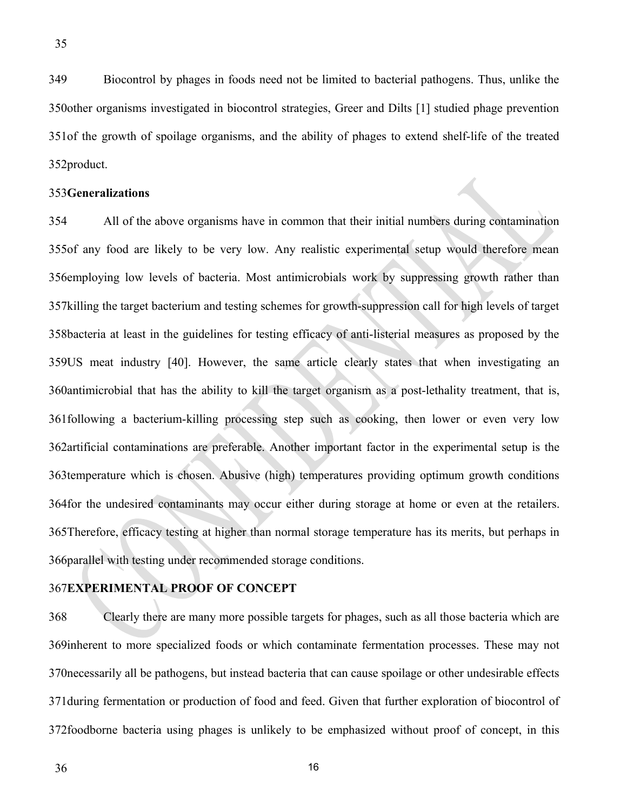Biocontrol by phages in foods need not be limited to bacterial pathogens. Thus, unlike the 350other organisms investigated in biocontrol strategies, Greer and Dilts [1] studied phage prevention 351 of the growth of spoilage organisms, and the ability of phages to extend shelf-life of the treated 352product. 349

#### **Generalizations** 353

All of the above organisms have in common that their initial numbers during contamination 355 of any food are likely to be very low. Any realistic experimental setup would therefore mean 356 employing low levels of bacteria. Most antimicrobials work by suppressing growth rather than 357killing the target bacterium and testing schemes for growth-suppression call for high levels of target 358bacteria at least in the guidelines for testing efficacy of anti-listerial measures as proposed by the 359US meat industry [40]. However, the same article clearly states that when investigating an 360antimicrobial that has the ability to kill the target organism as a post-lethality treatment, that is, 361 following a bacterium-killing processing step such as cooking, then lower or even very low 362 artificial contaminations are preferable. Another important factor in the experimental setup is the 363temperature which is chosen. Abusive (high) temperatures providing optimum growth conditions 364 for the undesired contaminants may occur either during storage at home or even at the retailers. 365 Therefore, efficacy testing at higher than normal storage temperature has its merits, but perhaps in 366parallel with testing under recommended storage conditions. 354

#### **EXPERIMENTAL PROOF OF CONCEPT** 367

Clearly there are many more possible targets for phages, such as all those bacteria which are 369 inherent to more specialized foods or which contaminate fermentation processes. These may not 370 necessarily all be pathogens, but instead bacteria that can cause spoilage or other undesirable effects 371 during fermentation or production of food and feed. Given that further exploration of biocontrol of 372foodborne bacteria using phages is unlikely to be emphasized without proof of concept, in this 368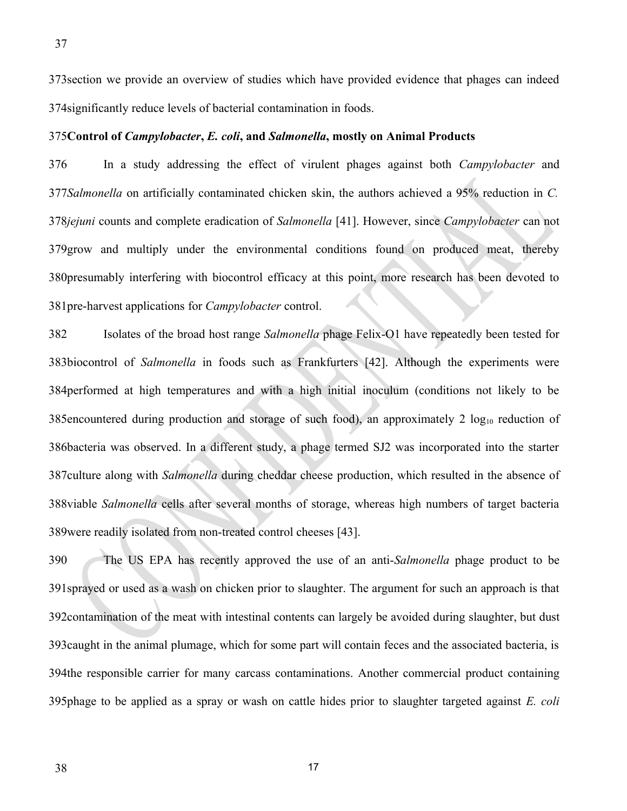373 section we provide an overview of studies which have provided evidence that phages can indeed 374 significantly reduce levels of bacterial contamination in foods.

## **Control of** *Campylobacter***,** *E. coli***, and** *Salmonella***, mostly on Animal Products** 375

In a study addressing the effect of virulent phages against both *Campylobacter* and *Salmonella* on artificially contaminated chicken skin, the authors achieved a 95% reduction in *C.* 377 378*jejuni* counts and complete eradication of *Salmonella* [41]. However, since *Campylobacter* can not 379 grow and multiply under the environmental conditions found on produced meat, thereby 380presumably interfering with biocontrol efficacy at this point, more research has been devoted to 381pre-harvest applications for *Campylobacter* control. 376

Isolates of the broad host range *Salmonella* phage Felix-O1 have repeatedly been tested for 383biocontrol of *Salmonella* in foods such as Frankfurters [42]. Although the experiments were 384 performed at high temperatures and with a high initial inoculum (conditions not likely to be 385 encountered during production and storage of such food), an approximately 2  $log_{10}$  reduction of 386bacteria was observed. In a different study, a phage termed SJ2 was incorporated into the starter 387 culture along with *Salmonella* during cheddar cheese production, which resulted in the absence of 388viable Salmonella cells after several months of storage, whereas high numbers of target bacteria 389 were readily isolated from non-treated control cheeses [43]. 382

The US EPA has recently approved the use of an anti-*Salmonella* phage product to be 391 sprayed or used as a wash on chicken prior to slaughter. The argument for such an approach is that 392 contamination of the meat with intestinal contents can largely be avoided during slaughter, but dust 393 caught in the animal plumage, which for some part will contain feces and the associated bacteria, is 394the responsible carrier for many carcass contaminations. Another commercial product containing 395phage to be applied as a spray or wash on cattle hides prior to slaughter targeted against *E. coli* 390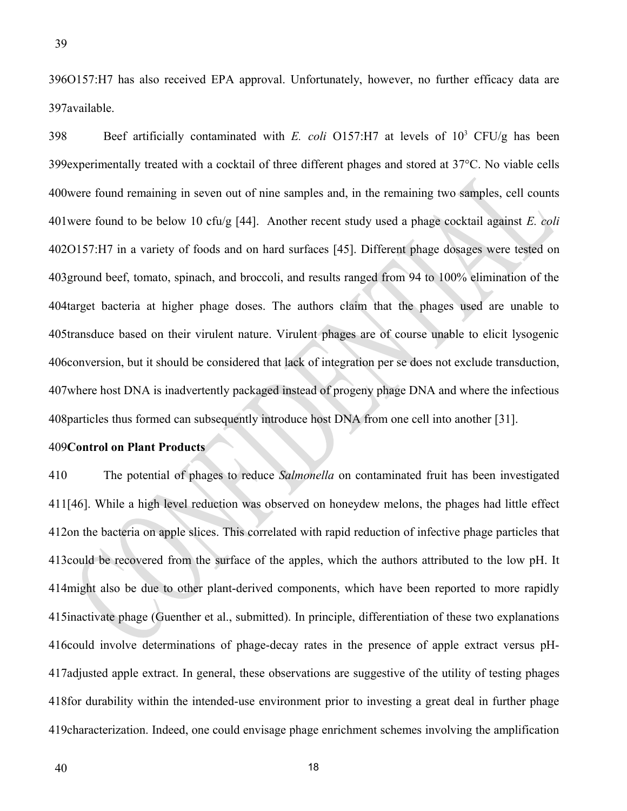396O157:H7 has also received EPA approval. Unfortunately, however, no further efficacy data are 397 available.

Beef artificially contaminated with *E. coli* O157:H7 at levels of  $10<sup>3</sup>$  CFU/g has been 399 $experiments$  and stored at 37 $^{\circ}$ C. No viable cells 400 were found remaining in seven out of nine samples and, in the remaining two samples, cell counts 401 were found to be below 10 cfu/g [44]. Another recent study used a phage cocktail against *E. coli* 402O157:H7 in a variety of foods and on hard surfaces [45]. Different phage dosages were tested on 403 ground beef, tomato, spinach, and broccoli, and results ranged from 94 to 100% elimination of the 404target bacteria at higher phage doses. The authors claim that the phages used are unable to 405transduce based on their virulent nature. Virulent phages are of course unable to elicit lysogenic 406 conversion, but it should be considered that lack of integration per se does not exclude transduction, 407where host DNA is inadvertently packaged instead of progeny phage DNA and where the infectious 408 particles thus formed can subsequently introduce host DNA from one cell into another [31]. 398

### **Control on Plant Products** 409

The potential of phages to reduce *Salmonella* on contaminated fruit has been investigated 411[46]. While a high level reduction was observed on honeydew melons, the phages had little effect 412on the bacteria on apple slices. This correlated with rapid reduction of infective phage particles that 413 could be recovered from the surface of the apples, which the authors attributed to the low pH. It 414 might also be due to other plant-derived components, which have been reported to more rapidly 415 inactivate phage (Guenther et al., submitted). In principle, differentiation of these two explanations 416 could involve determinations of phage-decay rates in the presence of apple extract versus pH-417 adjusted apple extract. In general, these observations are suggestive of the utility of testing phages 418 for durability within the intended-use environment prior to investing a great deal in further phage 419 characterization. Indeed, one could envisage phage enrichment schemes involving the amplification 410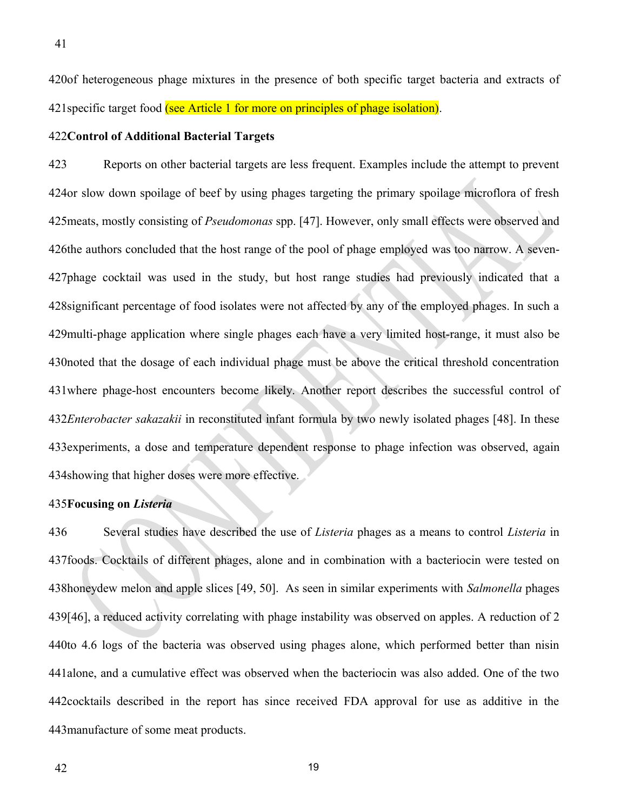420of heterogeneous phage mixtures in the presence of both specific target bacteria and extracts of 421 specific target food (see Article 1 for more on principles of phage isolation).

### **Control of Additional Bacterial Targets** 422

Reports on other bacterial targets are less frequent. Examples include the attempt to prevent 424 or slow down spoilage of beef by using phages targeting the primary spoilage microflora of fresh 425 meats, mostly consisting of *Pseudomonas* spp. [47]. However, only small effects were observed and 426the authors concluded that the host range of the pool of phage employed was too narrow. A seven-427phage cocktail was used in the study, but host range studies had previously indicated that a 428 significant percentage of food isolates were not affected by any of the employed phages. In such a 429 multi-phage application where single phages each have a very limited host-range, it must also be 430 noted that the dosage of each individual phage must be above the critical threshold concentration 431 where phage-host encounters become likely. Another report describes the successful control of *Enterobacter sakazakii* in reconstituted infant formula by two newly isolated phages [48]. In these 432 433 experiments, a dose and temperature dependent response to phage infection was observed, again 434 showing that higher doses were more effective. 423

### **Focusing on** *Listeria* 435

Several studies have described the use of *Listeria* phages as a means to control *Listeria* in 437 foods. Cocktails of different phages, alone and in combination with a bacteriocin were tested on 438honeydew melon and apple slices [49, 50]. As seen in similar experiments with *Salmonella* phages 439[46], a reduced activity correlating with phage instability was observed on apples. A reduction of 2 440to 4.6 logs of the bacteria was observed using phages alone, which performed better than nisin 441alone, and a cumulative effect was observed when the bacteriocin was also added. One of the two 442 cocktails described in the report has since received FDA approval for use as additive in the 443 manufacture of some meat products. 436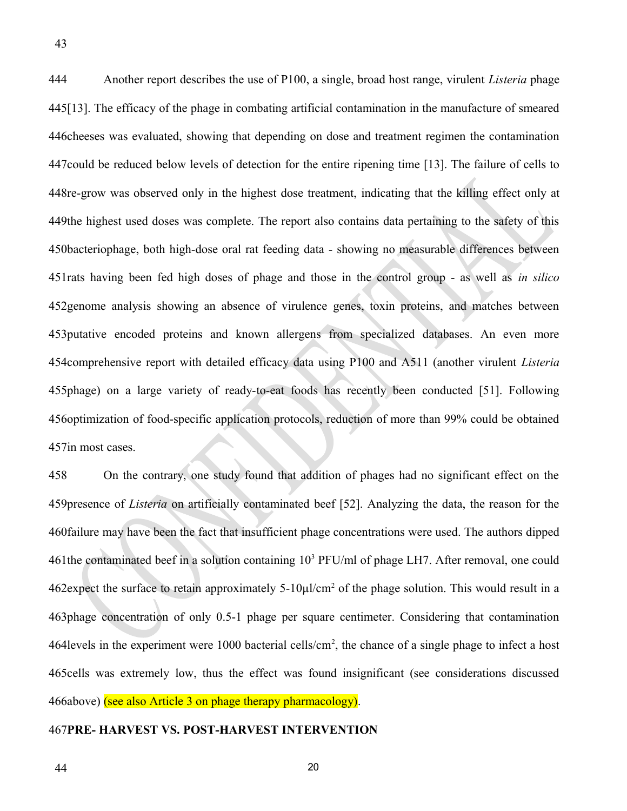Another report describes the use of P100, a single, broad host range, virulent *Listeria* phage 445[13]. The efficacy of the phage in combating artificial contamination in the manufacture of smeared 446 cheeses was evaluated, showing that depending on dose and treatment regimen the contamination 447 could be reduced below levels of detection for the entire ripening time [13]. The failure of cells to 448re-grow was observed only in the highest dose treatment, indicating that the killing effect only at 449the highest used doses was complete. The report also contains data pertaining to the safety of this 450bacteriophage, both high-dose oral rat feeding data - showing no measurable differences between 451 rats having been fed high doses of phage and those in the control group - as well as *in silico* 452 genome analysis showing an absence of virulence genes, toxin proteins, and matches between 453 putative encoded proteins and known allergens from specialized databases. An even more 454 comprehensive report with detailed efficacy data using P100 and A511 (another virulent *Listeria* 455phage) on a large variety of ready-to-eat foods has recently been conducted [51]. Following 456 optimization of food-specific application protocols, reduction of more than 99% could be obtained 457 in most cases. 444

On the contrary, one study found that addition of phages had no significant effect on the 459 presence of *Listeria* on artificially contaminated beef [52]. Analyzing the data, the reason for the 460 failure may have been the fact that insufficient phage concentrations were used. The authors dipped 461 the contaminated beef in a solution containing  $10<sup>3</sup>$  PFU/ml of phage LH7. After removal, one could 462 expect the surface to retain approximately  $5\text{-}10\mu$ l/cm<sup>2</sup> of the phage solution. This would result in a 463phage concentration of only 0.5-1 phage per square centimeter. Considering that contamination 464 levels in the experiment were 1000 bacterial cells/cm<sup>2</sup>, the chance of a single phage to infect a host 465 cells was extremely low, thus the effect was found insignificant (see considerations discussed 466above) (see also Article 3 on phage therapy pharmacology). 458

#### **PRE- HARVEST VS. POST-HARVEST INTERVENTION**  467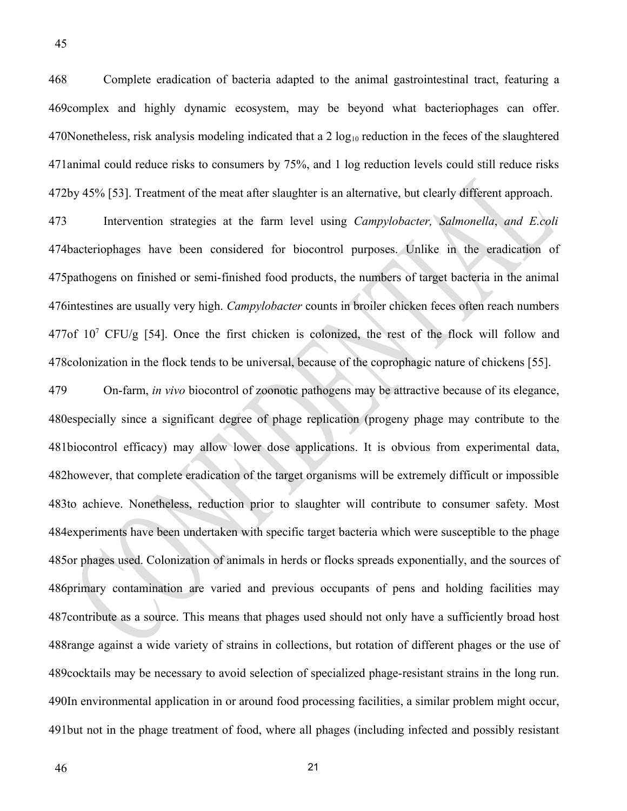Complete eradication of bacteria adapted to the animal gastrointestinal tract, featuring a 469 complex and highly dynamic ecosystem, may be beyond what bacteriophages can offer. 470Nonetheless, risk analysis modeling indicated that a  $2 \log_{10}$  reduction in the feces of the slaughtered 471 animal could reduce risks to consumers by 75%, and 1 log reduction levels could still reduce risks 472by 45% [53]. Treatment of the meat after slaughter is an alternative, but clearly different approach. 468

Intervention strategies at the farm level using *Campylobacter, Salmonella*, *and E.coli* 474bacteriophages have been considered for biocontrol purposes. Unlike in the eradication of 475 pathogens on finished or semi-finished food products, the numbers of target bacteria in the animal 476 intestines are usually very high. *Campylobacter* counts in broiler chicken feces often reach numbers 477 of  $10^7$  CFU/g [54]. Once the first chicken is colonized, the rest of the flock will follow and 478 colonization in the flock tends to be universal, because of the coprophagic nature of chickens [55]. 473

On-farm, *in vivo* biocontrol of zoonotic pathogens may be attractive because of its elegance, 480especially since a significant degree of phage replication (progeny phage may contribute to the 481biocontrol efficacy) may allow lower dose applications. It is obvious from experimental data, 482 however, that complete eradication of the target organisms will be extremely difficult or impossible 483to achieve. Nonetheless, reduction prior to slaughter will contribute to consumer safety. Most 484 experiments have been undertaken with specific target bacteria which were susceptible to the phage 485 or phages used. Colonization of animals in herds or flocks spreads exponentially, and the sources of 486 primary contamination are varied and previous occupants of pens and holding facilities may 487 contribute as a source. This means that phages used should not only have a sufficiently broad host 488 range against a wide variety of strains in collections, but rotation of different phages or the use of 489 cocktails may be necessary to avoid selection of specialized phage-resistant strains in the long run. 490In environmental application in or around food processing facilities, a similar problem might occur, 491but not in the phage treatment of food, where all phages (including infected and possibly resistant 479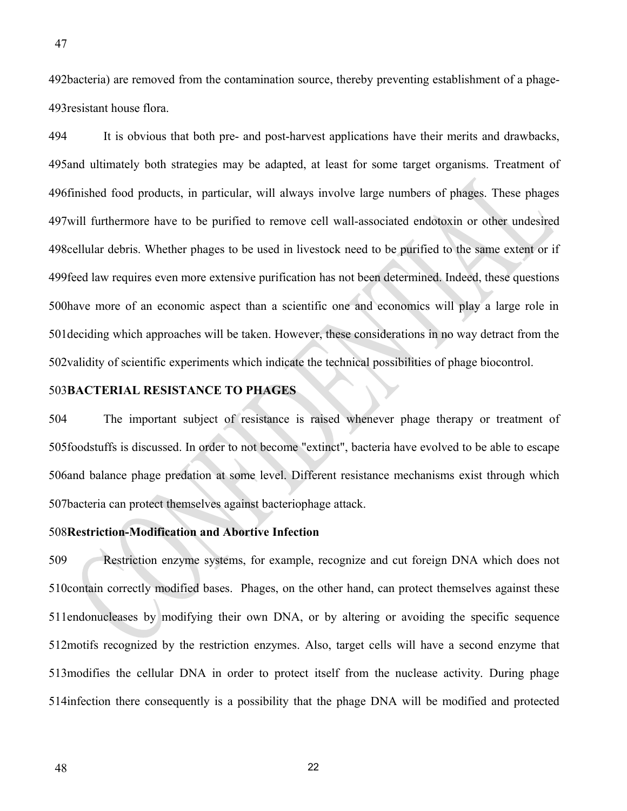492bacteria) are removed from the contamination source, thereby preventing establishment of a phage-493 resistant house flora.

It is obvious that both pre- and post-harvest applications have their merits and drawbacks, 495 and ultimately both strategies may be adapted, at least for some target organisms. Treatment of 496finished food products, in particular, will always involve large numbers of phages. These phages 497 will furthermore have to be purified to remove cell wall-associated endotoxin or other undesired 498 cellular debris. Whether phages to be used in livestock need to be purified to the same extent or if 499feed law requires even more extensive purification has not been determined. Indeed, these questions 500 have more of an economic aspect than a scientific one and economics will play a large role in 501 deciding which approaches will be taken. However, these considerations in no way detract from the 502 validity of scientific experiments which indicate the technical possibilities of phage biocontrol. 494

### **S03BACTERIAL RESISTANCE TO PHAGES**

The important subject of resistance is raised whenever phage therapy or treatment of 505foodstuffs is discussed. In order to not become "extinct", bacteria have evolved to be able to escape 506 and balance phage predation at some level. Different resistance mechanisms exist through which 507bacteria can protect themselves against bacteriophage attack. 504

## 508Restriction-Modification and Abortive Infection

Restriction enzyme systems, for example, recognize and cut foreign DNA which does not 510 contain correctly modified bases. Phages, on the other hand, can protect themselves against these 511 endonucleases by modifying their own DNA, or by altering or avoiding the specific sequence 512 motifs recognized by the restriction enzymes. Also, target cells will have a second enzyme that 513 modifies the cellular DNA in order to protect itself from the nuclease activity. During phage 514 infection there consequently is a possibility that the phage DNA will be modified and protected 509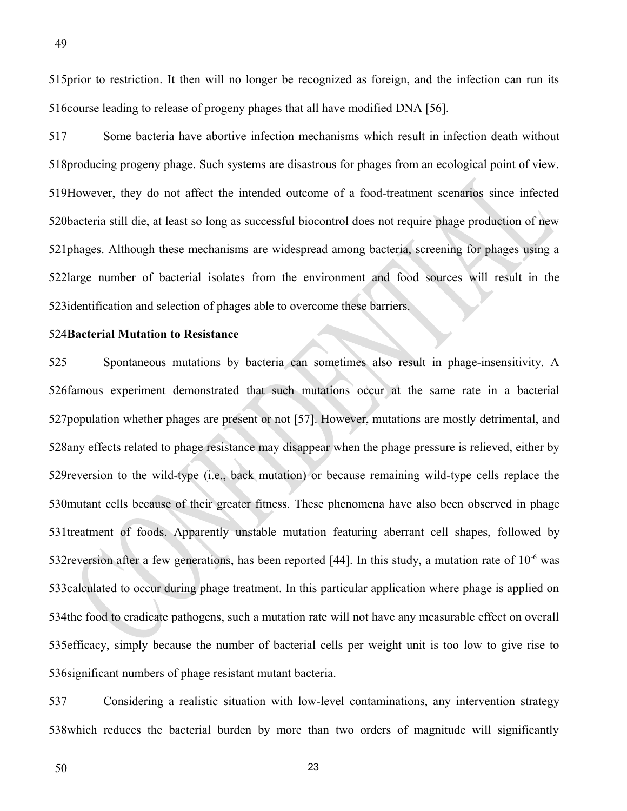515 prior to restriction. It then will no longer be recognized as foreign, and the infection can run its 516 course leading to release of progeny phages that all have modified DNA [56].

Some bacteria have abortive infection mechanisms which result in infection death without 518 producing progeny phage. Such systems are disastrous for phages from an ecological point of view. 519However, they do not affect the intended outcome of a food-treatment scenarios since infected 520bacteria still die, at least so long as successful biocontrol does not require phage production of new 521 phages. Although these mechanisms are widespread among bacteria, screening for phages using a 522large number of bacterial isolates from the environment and food sources will result in the 523 identification and selection of phages able to overcome these barriers. 517

#### **Bacterial Mutation to Resistance** 524

Spontaneous mutations by bacteria can sometimes also result in phage-insensitivity. A 526 famous experiment demonstrated that such mutations occur at the same rate in a bacterial 527 population whether phages are present or not [57]. However, mutations are mostly detrimental, and 528 any effects related to phage resistance may disappear when the phage pressure is relieved, either by 529 reversion to the wild-type (i.e., back mutation) or because remaining wild-type cells replace the 530 mutant cells because of their greater fitness. These phenomena have also been observed in phage 531treatment of foods. Apparently unstable mutation featuring aberrant cell shapes, followed by 532 reversion after a few generations, has been reported [44]. In this study, a mutation rate of  $10^{-6}$  was 533 calculated to occur during phage treatment. In this particular application where phage is applied on 534the food to eradicate pathogens, such a mutation rate will not have any measurable effect on overall 535 efficacy, simply because the number of bacterial cells per weight unit is too low to give rise to 536 significant numbers of phage resistant mutant bacteria. 525

Considering a realistic situation with low-level contaminations, any intervention strategy 538 which reduces the bacterial burden by more than two orders of magnitude will significantly 537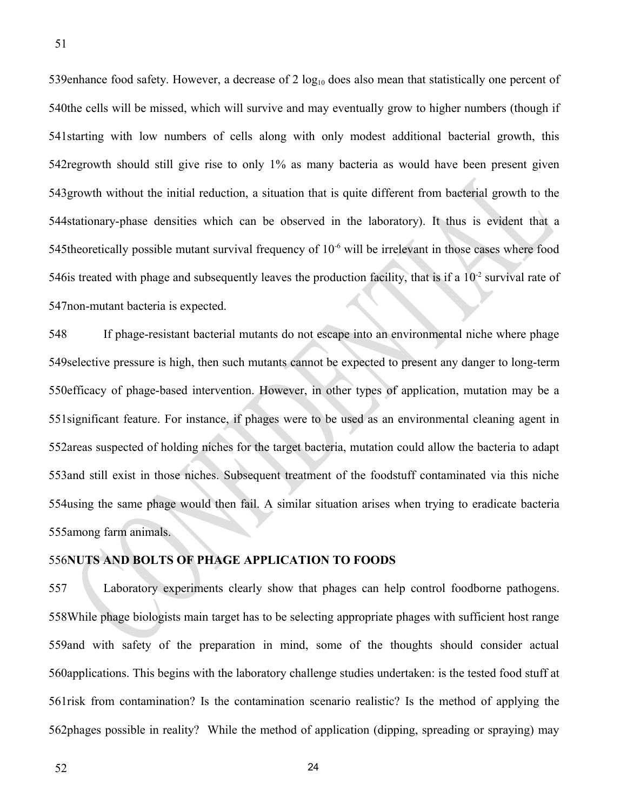539 enhance food safety. However, a decrease of 2  $log_{10}$  does also mean that statistically one percent of 540the cells will be missed, which will survive and may eventually grow to higher numbers (though if 541 starting with low numbers of cells along with only modest additional bacterial growth, this 542 regrowth should still give rise to only 1% as many bacteria as would have been present given 543 growth without the initial reduction, a situation that is quite different from bacterial growth to the 544 stationary-phase densities which can be observed in the laboratory). It thus is evident that a 545 theoretically possible mutant survival frequency of  $10^{-6}$  will be irrelevant in those cases where food 546 is treated with phage and subsequently leaves the production facility, that is if a  $10^{-2}$  survival rate of 547non-mutant bacteria is expected.

If phage-resistant bacterial mutants do not escape into an environmental niche where phage 549 selective pressure is high, then such mutants cannot be expected to present any danger to long-term 550 efficacy of phage-based intervention. However, in other types of application, mutation may be a 551 significant feature. For instance, if phages were to be used as an environmental cleaning agent in 552 areas suspected of holding niches for the target bacteria, mutation could allow the bacteria to adapt 553 and still exist in those niches. Subsequent treatment of the foodstuff contaminated via this niche 554 using the same phage would then fail. A similar situation arises when trying to eradicate bacteria 555 among farm animals. 548

#### **NUTS AND BOLTS OF PHAGE APPLICATION TO FOODS** 556

Laboratory experiments clearly show that phages can help control foodborne pathogens. 558 While phage biologists main target has to be selecting appropriate phages with sufficient host range 559 and with safety of the preparation in mind, some of the thoughts should consider actual 560 applications. This begins with the laboratory challenge studies undertaken: is the tested food stuff at 561 risk from contamination? Is the contamination scenario realistic? Is the method of applying the 562phages possible in reality? While the method of application (dipping, spreading or spraying) may 557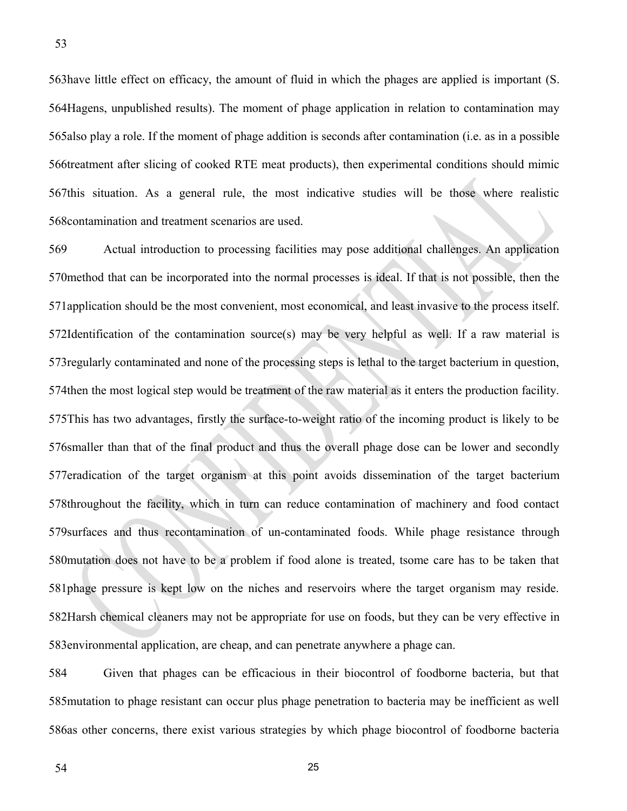563 have little effect on efficacy, the amount of fluid in which the phages are applied is important (S. 564Hagens, unpublished results). The moment of phage application in relation to contamination may 565also play a role. If the moment of phage addition is seconds after contamination (i.e. as in a possible 566treatment after slicing of cooked RTE meat products), then experimental conditions should mimic 567this situation. As a general rule, the most indicative studies will be those where realistic 568 contamination and treatment scenarios are used.

Actual introduction to processing facilities may pose additional challenges. An application 570 method that can be incorporated into the normal processes is ideal. If that is not possible, then the 571 application should be the most convenient, most economical, and least invasive to the process itself.  $572$ Identification of the contamination source(s) may be very helpful as well. If a raw material is 573 regularly contaminated and none of the processing steps is lethal to the target bacterium in question, 574 then the most logical step would be treatment of the raw material as it enters the production facility. 575This has two advantages, firstly the surface-to-weight ratio of the incoming product is likely to be 576 smaller than that of the final product and thus the overall phage dose can be lower and secondly 577 eradication of the target organism at this point avoids dissemination of the target bacterium 578throughout the facility, which in turn can reduce contamination of machinery and food contact 579 surfaces and thus recontamination of un-contaminated foods. While phage resistance through 580 mutation does not have to be a problem if food alone is treated, tsome care has to be taken that 581phage pressure is kept low on the niches and reservoirs where the target organism may reside. 582Harsh chemical cleaners may not be appropriate for use on foods, but they can be very effective in 583 environmental application, are cheap, and can penetrate anywhere a phage can. 569

Given that phages can be efficacious in their biocontrol of foodborne bacteria, but that 585 mutation to phage resistant can occur plus phage penetration to bacteria may be inefficient as well 586as other concerns, there exist various strategies by which phage biocontrol of foodborne bacteria 584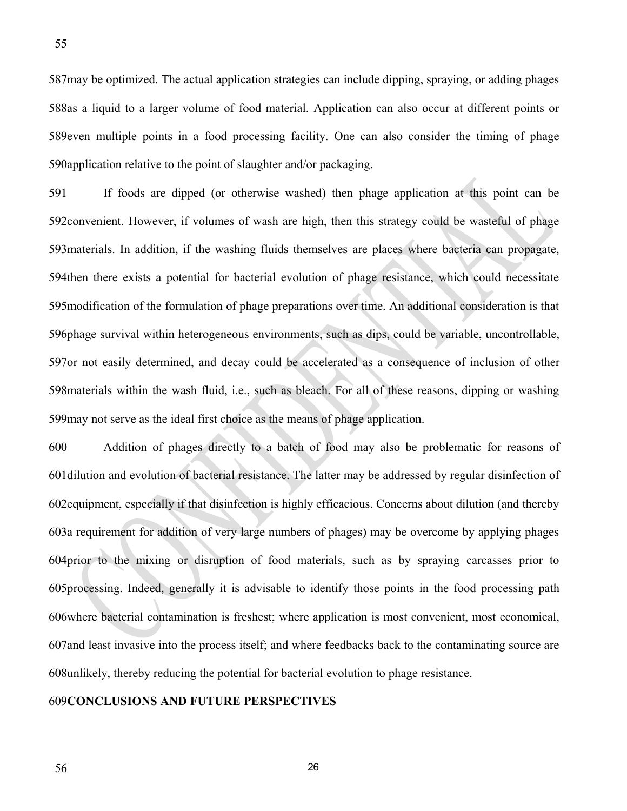587 may be optimized. The actual application strategies can include dipping, spraying, or adding phages 588as a liquid to a larger volume of food material. Application can also occur at different points or 589even multiple points in a food processing facility. One can also consider the timing of phage 590 application relative to the point of slaughter and/or packaging.

If foods are dipped (or otherwise washed) then phage application at this point can be 592 convenient. However, if volumes of wash are high, then this strategy could be wasteful of phage 593 materials. In addition, if the washing fluids themselves are places where bacteria can propagate, 594then there exists a potential for bacterial evolution of phage resistance, which could necessitate 595 modification of the formulation of phage preparations over time. An additional consideration is that 596phage survival within heterogeneous environments, such as dips, could be variable, uncontrollable, 597or not easily determined, and decay could be accelerated as a consequence of inclusion of other 598 materials within the wash fluid, i.e., such as bleach. For all of these reasons, dipping or washing 599 may not serve as the ideal first choice as the means of phage application. 591

Addition of phages directly to a batch of food may also be problematic for reasons of 601 dilution and evolution of bacterial resistance. The latter may be addressed by regular disinfection of 602 equipment, especially if that disinfection is highly efficacious. Concerns about dilution (and thereby 603a requirement for addition of very large numbers of phages) may be overcome by applying phages 604 prior to the mixing or disruption of food materials, such as by spraying carcasses prior to 605processing. Indeed, generally it is advisable to identify those points in the food processing path 606where bacterial contamination is freshest; where application is most convenient, most economical, 607 and least invasive into the process itself; and where feedbacks back to the contaminating source are 608 unlikely, thereby reducing the potential for bacterial evolution to phage resistance. 600

## **CONCLUSIONS AND FUTURE PERSPECTIVES**  609

55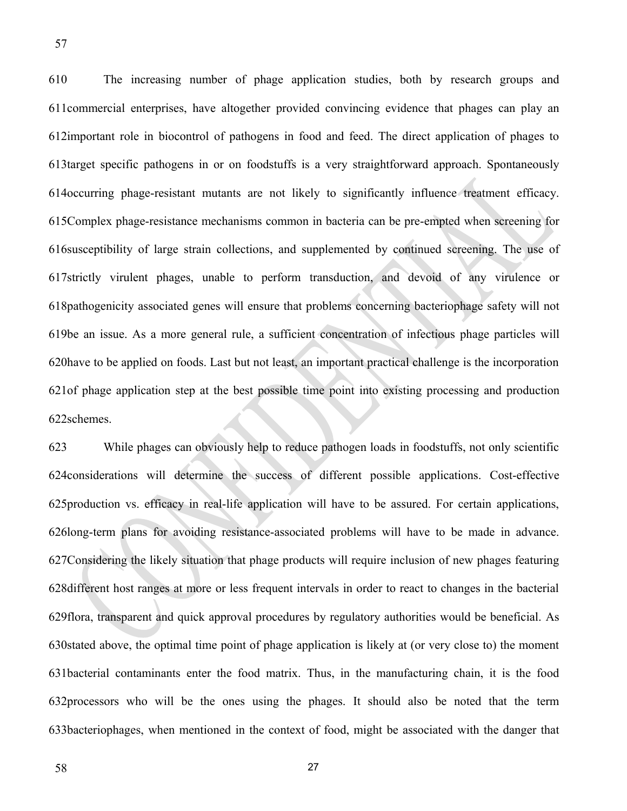The increasing number of phage application studies, both by research groups and 611 commercial enterprises, have altogether provided convincing evidence that phages can play an 612 important role in biocontrol of pathogens in food and feed. The direct application of phages to 613target specific pathogens in or on foodstuffs is a very straightforward approach. Spontaneously 614 occurring phage-resistant mutants are not likely to significantly influence treatment efficacy. 615 Complex phage-resistance mechanisms common in bacteria can be pre-empted when screening for 616 susceptibility of large strain collections, and supplemented by continued screening. The use of 617 strictly virulent phages, unable to perform transduction, and devoid of any virulence or 618 pathogenicity associated genes will ensure that problems concerning bacteriophage safety will not 619be an issue. As a more general rule, a sufficient concentration of infectious phage particles will 620 have to be applied on foods. Last but not least, an important practical challenge is the incorporation 621 of phage application step at the best possible time point into existing processing and production 622schemes. 610

While phages can obviously help to reduce pathogen loads in foodstuffs, not only scientific 624 considerations will determine the success of different possible applications. Cost-effective 625 production vs. efficacy in real-life application will have to be assured. For certain applications, 626long-term plans for avoiding resistance-associated problems will have to be made in advance. 627 Considering the likely situation that phage products will require inclusion of new phages featuring 628 different host ranges at more or less frequent intervals in order to react to changes in the bacterial 629flora, transparent and quick approval procedures by regulatory authorities would be beneficial. As 630 stated above, the optimal time point of phage application is likely at (or very close to) the moment 631bacterial contaminants enter the food matrix. Thus, in the manufacturing chain, it is the food 632 processors who will be the ones using the phages. It should also be noted that the term 633bacteriophages, when mentioned in the context of food, might be associated with the danger that 623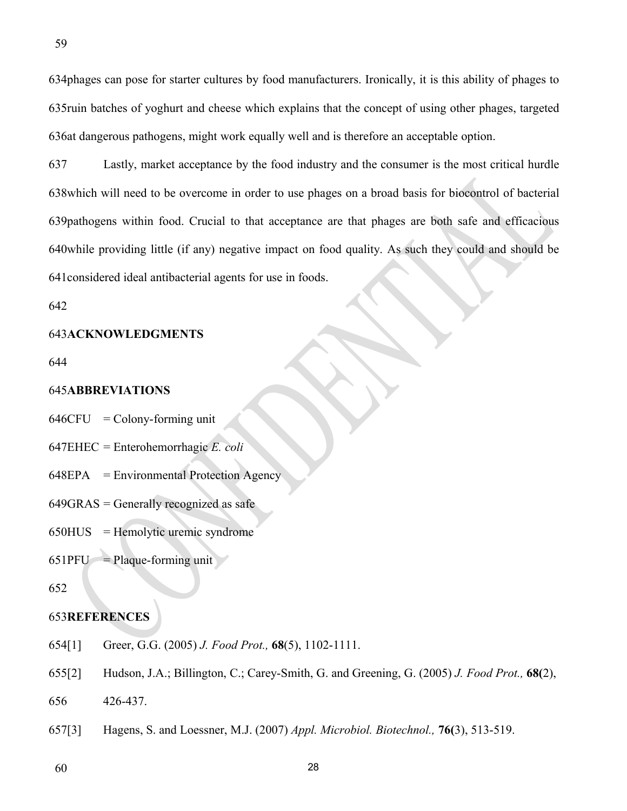634 phages can pose for starter cultures by food manufacturers. Ironically, it is this ability of phages to 635ruin batches of yoghurt and cheese which explains that the concept of using other phages, targeted 636at dangerous pathogens, might work equally well and is therefore an acceptable option.

Lastly, market acceptance by the food industry and the consumer is the most critical hurdle 638 which will need to be overcome in order to use phages on a broad basis for biocontrol of bacterial 639pathogens within food. Crucial to that acceptance are that phages are both safe and efficacious 640 while providing little (if any) negative impact on food quality. As such they could and should be 641 considered ideal antibacterial agents for use in foods. 637

642

## **ACKNOWLEDGMENTS** 643

644

## **645ABBREVIATIONS**

 $646$ CFU = Colony-forming unit

- 647EHEC = Enterohemorrhagic *E. coli*
- 648EPA = Environmental Protection Agency
- $649$ GRAS = Generally recognized as safe
- $650$ HUS = Hemolytic uremic syndrome
- $=$  Plaque-forming unit 651PFU
- 652

## **REFERENCES** 653

- [1] Greer, G.G. (2005) *J. Food Prot.,* **68**(5), 1102-1111.  $654[1]$
- [2] Hudson, J.A.; Billington, C.; Carey-Smith, G. and Greening, G. (2005) *J. Food Prot.,* **68(**2),  $655[2]$
- 426-437. 656
- [3] Hagens, S. and Loessner, M.J. (2007) *Appl. Microbiol. Biotechnol.,* **76(**3), 513-519.  $657[3]$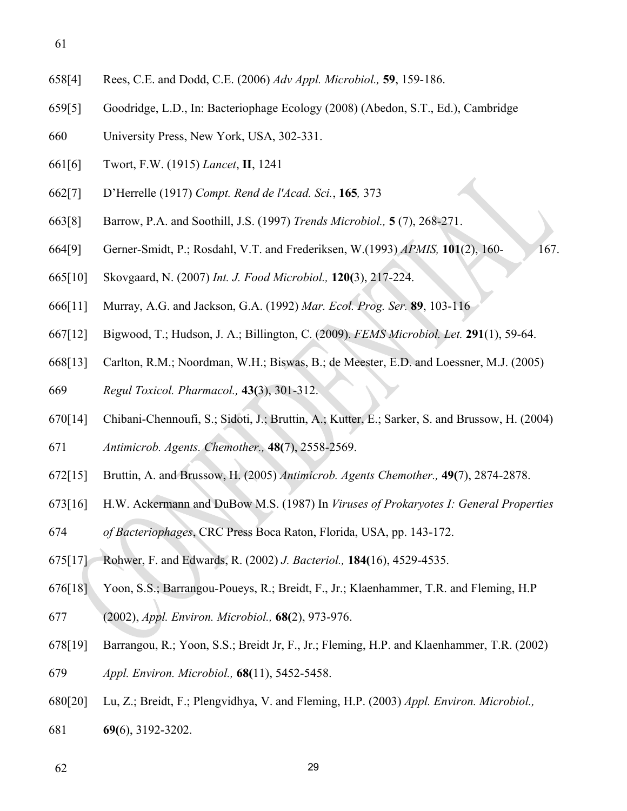- [4] Rees, C.E. and Dodd, C.E. (2006) *Adv Appl. Microbiol.,* **59**, 159-186. 658[4]
- [5] Goodridge, L.D., In: Bacteriophage Ecology (2008) (Abedon, S.T., Ed.), Cambridge 659[5]
- University Press, New York, USA, 302-331. 660
- [6] Twort, F.W. (1915) *Lancet*, **II**, 1241 661[6]
- [7] D'Herrelle (1917) *Compt. Rend de l'Acad. Sci.*, **165***,* 373 662[7]
- [8] Barrow, P.A. and Soothill, J.S. (1997) *Trends Microbiol.,* **5** (7), 268-271. 663[8]
- [9] Gerner-Smidt, P.; Rosdahl, V.T. and Frederiksen, W.(1993) *APMIS,* **101**(2), 160- 167. 664[9]
- [10] Skovgaard, N. (2007) *Int. J. Food Microbiol.,* **120(**3), 217-224. 665[10]
- [11] Murray, A.G. and Jackson, G.A. (1992) *Mar. Ecol. Prog. Ser.* **89**, 103-116 666[11]
- [12] Bigwood, T.; Hudson, J. A.; Billington, C. (2009). *FEMS Microbiol. Let.* **291**(1), 59-64. 667[12]
- [13] Carlton, R.M.; Noordman, W.H.; Biswas, B.; de Meester, E.D. and Loessner, M.J. (2005) *Regul Toxicol. Pharmacol.,* **43(**3), 301-312. 668[13] 669
- [14] Chibani-Chennoufi, S.; Sidoti, J.; Bruttin, A.; Kutter, E.; Sarker, S. and Brussow, H. (2004)  $670[14]$
- *Antimicrob. Agents. Chemother.,* **48(**7), 2558-2569. 671
- [15] Bruttin, A. and Brussow, H. (2005) *Antimicrob. Agents Chemother.,* **49(**7), 2874-2878.  $672[15]$
- [16] H.W. Ackermann and DuBow M.S. (1987) In *Viruses of Prokaryotes I: General Properties* 673[16]
- *of Bacteriophages*, CRC Press Boca Raton, Florida, USA, pp. 143-172. 674
- [17] Rohwer, F. and Edwards, R. (2002) *J. Bacteriol.,* **184(**16), 4529-4535.  $675[17]$
- [18] Yoon, S.S.; Barrangou-Poueys, R.; Breidt, F., Jr.; Klaenhammer, T.R. and Fleming, H.P 676[18]
- (2002), *Appl. Environ. Microbiol.,* **68(**2), 973-976. 677
- [19] Barrangou, R.; Yoon, S.S.; Breidt Jr, F., Jr.; Fleming, H.P. and Klaenhammer, T.R. (2002) 678[19]
- *Appl. Environ. Microbiol.,* **68(**11), 5452-5458. 679
- [20] Lu, Z.; Breidt, F.; Plengvidhya, V. and Fleming, H.P. (2003) *Appl. Environ. Microbiol.,* 680[20]
- **69(**6), 3192-3202. 681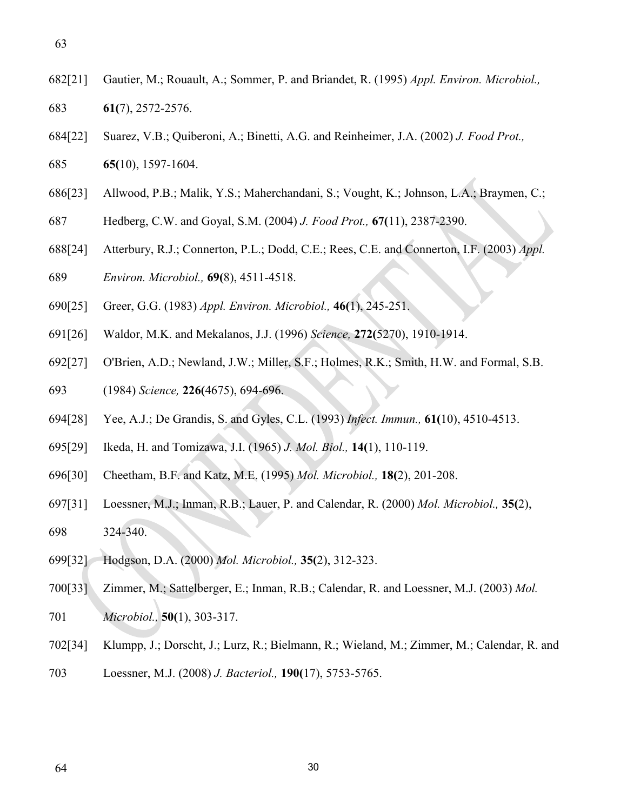[21] Gautier, M.; Rouault, A.; Sommer, P. and Briandet, R. (1995) *Appl. Environ. Microbiol.,* 682[21]

**61(**7), 2572-2576. 683

- [22] Suarez, V.B.; Quiberoni, A.; Binetti, A.G. and Reinheimer, J.A. (2002) *J. Food Prot.,* 684[22]
- **65(**10), 1597-1604. 685
- [23] Allwood, P.B.; Malik, Y.S.; Maherchandani, S.; Vought, K.; Johnson, L.A.; Braymen, C.; 686[23]
- Hedberg, C.W. and Goyal, S.M. (2004) *J. Food Prot.,* **67(**11), 2387-2390. 687
- [24] Atterbury, R.J.; Connerton, P.L.; Dodd, C.E.; Rees, C.E. and Connerton, I.F. (2003) *Appl.* 688[24]
- *Environ. Microbiol.,* **69(**8), 4511-4518. 689
- [25] Greer, G.G. (1983) *Appl. Environ. Microbiol.,* **46(**1), 245-251. 690[25]
- [26] Waldor, M.K. and Mekalanos, J.J. (1996) *Science,* **272(**5270), 1910-1914. 691[26]
- [27] O'Brien, A.D.; Newland, J.W.; Miller, S.F.; Holmes, R.K.; Smith, H.W. and Formal, S.B. 692[27]
- (1984) *Science,* **226(**4675), 694-696. 693
- [28] Yee, A.J.; De Grandis, S. and Gyles, C.L. (1993) *Infect. Immun.,* **61(**10), 4510-4513. 694[28]
- [29] Ikeda, H. and Tomizawa, J.I. (1965) *J. Mol. Biol.,* **14(**1), 110-119. 695[29]
- [30] Cheetham, B.F. and Katz, M.E. (1995) *Mol. Microbiol.,* **18(**2), 201-208. 696[30]
- [31] Loessner, M.J.; Inman, R.B.; Lauer, P. and Calendar, R. (2000) *Mol. Microbiol.,* **35(**2), 324-340. 697[31] 698
- [32] Hodgson, D.A. (2000) *Mol. Microbiol.,* **35(**2), 312-323. 699[32]
- [33] Zimmer, M.; Sattelberger, E.; Inman, R.B.; Calendar, R. and Loessner, M.J. (2003) *Mol.* 700[33]
- *Microbiol.,* **50(**1), 303-317. 701
- [34] Klumpp, J.; Dorscht, J.; Lurz, R.; Bielmann, R.; Wieland, M.; Zimmer, M.; Calendar, R. and 702[34]
- Loessner, M.J. (2008) *J. Bacteriol.,* **190(**17), 5753-5765. 703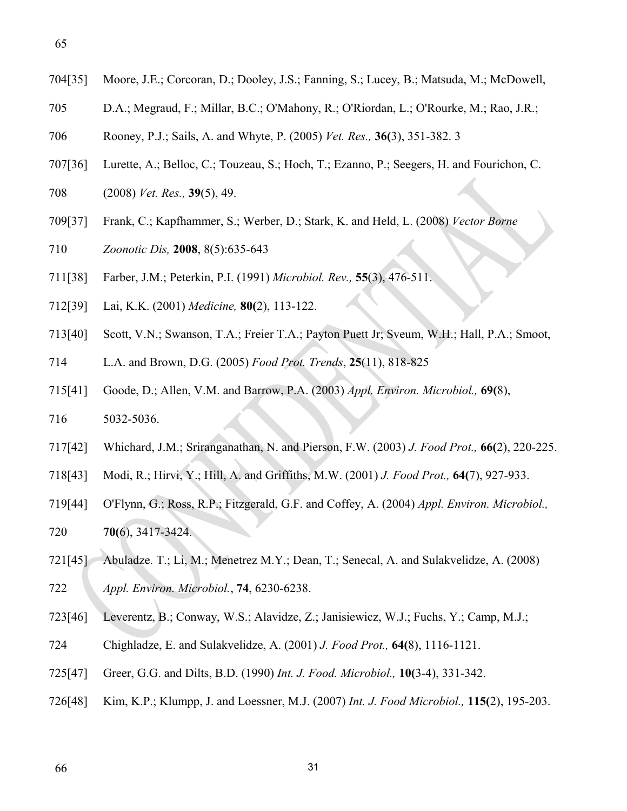- [35] Moore, J.E.; Corcoran, D.; Dooley, J.S.; Fanning, S.; Lucey, B.; Matsuda, M.; McDowell, 704[35]
- D.A.; Megraud, F.; Millar, B.C.; O'Mahony, R.; O'Riordan, L.; O'Rourke, M.; Rao, J.R.; 705
- Rooney, P.J.; Sails, A. and Whyte, P. (2005) *Vet. Res.,* **36(**3), 351-382. 3 706
- Lurette, A.; Belloc, C.; Touzeau, S.; Hoch, T.; Ezanno, P.; Seegers, H. and Fourichon, C. 707[36]
- (2008) *Vet. Res.,* **39**(5), 49. 708
- [37] Frank, C.; Kapfhammer, S.; Werber, D.; Stark, K. and Held, L. (2008) *Vector Borne* 709[37]
- *Zoonotic Dis,* **2008**, 8(5):635-643 710
- [38] Farber, J.M.; Peterkin, P.I. (1991) *Microbiol. Rev.,* **55**(3), 476-511. 711[38]
- [39] Lai, K.K. (2001) *Medicine,* **80(**2), 113-122. 712[39]
- [40] Scott, V.N.; Swanson, T.A.; Freier T.A.; Payton Puett Jr; Sveum, W.H.; Hall, P.A.; Smoot, 713[40]
- L.A. and Brown, D.G. (2005) *Food Prot. Trends*, **25**(11), 818-825 714
- [41] Goode, D.; Allen, V.M. and Barrow, P.A. (2003) *Appl. Environ. Microbiol.,* **69(**8), 715[41]
- 5032-5036. 716
- [42] Whichard, J.M.; Sriranganathan, N. and Pierson, F.W. (2003) *J. Food Prot.,* **66(**2), 220-225. 717[42]
- [43] Modi, R.; Hirvi, Y.; Hill, A. and Griffiths, M.W. (2001) *J. Food Prot.,* **64(**7), 927-933. 718[43]
- [44] O'Flynn, G.; Ross, R.P.; Fitzgerald, G.F. and Coffey, A. (2004) *Appl. Environ. Microbiol.,* 719[44]
- **70(**6), 3417-3424. 720
- [45] [Abuladze. T.](http://www.ncbi.nlm.nih.gov/sites/entrez?Db=pubmed&Cmd=Search&Term=%22Abuladze%20T%22%5BAuthor%5D&itool=EntrezSystem2.PEntrez.Pubmed.Pubmed_ResultsPanel.Pubmed_DiscoveryPanel.Pubmed_RVAbstractPlus); [Li, M.](http://www.ncbi.nlm.nih.gov/sites/entrez?Db=pubmed&Cmd=Search&Term=%22Li%20M%22%5BAuthor%5D&itool=EntrezSystem2.PEntrez.Pubmed.Pubmed_ResultsPanel.Pubmed_DiscoveryPanel.Pubmed_RVAbstractPlus); [Menetrez M.Y.](http://www.ncbi.nlm.nih.gov/sites/entrez?Db=pubmed&Cmd=Search&Term=%22Menetrez%20MY%22%5BAuthor%5D&itool=EntrezSystem2.PEntrez.Pubmed.Pubmed_ResultsPanel.Pubmed_DiscoveryPanel.Pubmed_RVAbstractPlus); [Dean, T.](http://www.ncbi.nlm.nih.gov/sites/entrez?Db=pubmed&Cmd=Search&Term=%22Dean%20T%22%5BAuthor%5D&itool=EntrezSystem2.PEntrez.Pubmed.Pubmed_ResultsPanel.Pubmed_DiscoveryPanel.Pubmed_RVAbstractPlus); [Senecal, A.](http://www.ncbi.nlm.nih.gov/sites/entrez?Db=pubmed&Cmd=Search&Term=%22Senecal%20A%22%5BAuthor%5D&itool=EntrezSystem2.PEntrez.Pubmed.Pubmed_ResultsPanel.Pubmed_DiscoveryPanel.Pubmed_RVAbstractPlus) and [Sulakvelidze, A.](http://www.ncbi.nlm.nih.gov/sites/entrez?Db=pubmed&Cmd=Search&Term=%22Sulakvelidze%20A%22%5BAuthor%5D&itool=EntrezSystem2.PEntrez.Pubmed.Pubmed_ResultsPanel.Pubmed_DiscoveryPanel.Pubmed_RVAbstractPlus) (2008)  $721[45]$
- *Appl. Environ. Microbiol.*, **74**, 6230-6238. 722
- [46] Leverentz, B.; Conway, W.S.; Alavidze, Z.; Janisiewicz, W.J.; Fuchs, Y.; Camp, M.J.; 723[46]
- Chighladze, E. and Sulakvelidze, A. (2001) *J. Food Prot.,* **64(**8), 1116-1121. 724
- [47] Greer, G.G. and Dilts, B.D. (1990) *Int. J. Food. Microbiol.,* **10(**3-4), 331-342. 725[47]
- [48] Kim, K.P.; Klumpp, J. and Loessner, M.J. (2007) *Int. J. Food Microbiol.,* **115(**2), 195-203. 726[48]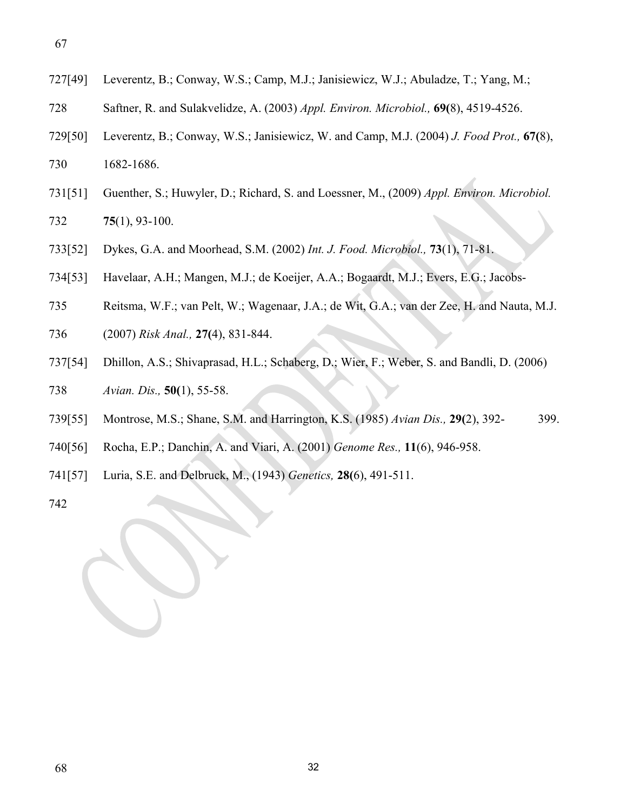- [49] Leverentz, B.; Conway, W.S.; Camp, M.J.; Janisiewicz, W.J.; Abuladze, T.; Yang, M.; 727[49]
- Saftner, R. and Sulakvelidze, A. (2003) *Appl. Environ. Microbiol.,* **69(**8), 4519-4526. 728
- [50] Leverentz, B.; Conway, W.S.; Janisiewicz, W. and Camp, M.J. (2004) *J. Food Prot.,* **67(**8), 729[50]
- 1682-1686. 730
- [51] Guenther, S.; Huwyler, D.; Richard, S. and Loessner, M., (2009) *Appl. Environ. Microbiol.* **75**(1), 93-100. 731[51] 732
- [52] Dykes, G.A. and Moorhead, S.M. (2002) *Int. J. Food. Microbiol.,* **73**(1), 71-81. 733[52]
- Havelaar, A.H.; Mangen, M.J.; de Koeijer, A.A.; Bogaardt, M.J.; Evers, E.G.; Jacobs-734[53]
- Reitsma, W.F.; van Pelt, W.; Wagenaar, J.A.; de Wit, G.A.; van der Zee, H. and Nauta, M.J. 735
- (2007) *Risk Anal.,* **27(**4), 831-844. 736
- [54] Dhillon, A.S.; Shivaprasad, H.L.; Schaberg, D.; Wier, F.; Weber, S. and Bandli, D. (2006) 737[54]
- *Avian. Dis.,* **50(**1), 55-58. 738
- [55] Montrose, M.S.; Shane, S.M. and Harrington, K.S. (1985) *Avian Dis.,* **29(**2), 392- 399. 739[55]
- [56] Rocha, E.P.; Danchin, A. and Viari, A. (2001) *Genome Res.,* **11**(6), 946-958. 740[56]
- [57] Luria, S.E. and Delbruck, M., (1943) *Genetics,* **28(**6), 491-511. 741[57]
- 742